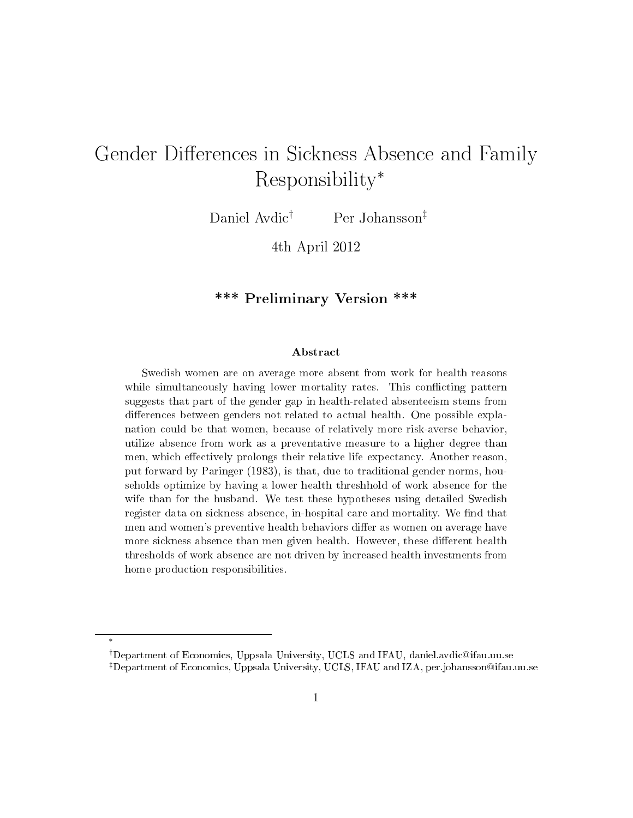# Gender Differences in Sickness Absence and Family Responsibility*<sup>∗</sup>*

Daniel Avdic*†* Per Johansson*‡*

4th April 2012

## \*\*\* Preliminary Version \*\*\*

#### Abstract

Swedish women are on average more absent from work for health reasons while simultaneously having lower mortality rates. This conflicting pattern suggests that part of the gender gap in health-related absenteeism stems from differences between genders not related to actual health. One possible explanation could be that women, because of relatively more risk-averse behavior, utilize absence from work as a preventative measure to a higher degree than men, which effectively prolongs their relative life expectancy. Another reason, put forward by Paringer (1983), is that, due to traditional gender norms, households optimize by having a lower health threshhold of work absence for the wife than for the husband. We test these hypotheses using detailed Swedish register data on sickness absence, in-hospital care and mortality. We find that men and women's preventive health behaviors differ as women on average have more sickness absence than men given health. However, these different health thresholds of work absence are not driven by increased health investments from home production responsibilities.

*∗*

*<sup>†</sup>*Department of Economics, Uppsala University, UCLS and IFAU, daniel.avdic@ifau.uu.se *‡*Department of Economics, Uppsala University, UCLS, IFAU and IZA, per.johansson@ifau.uu.se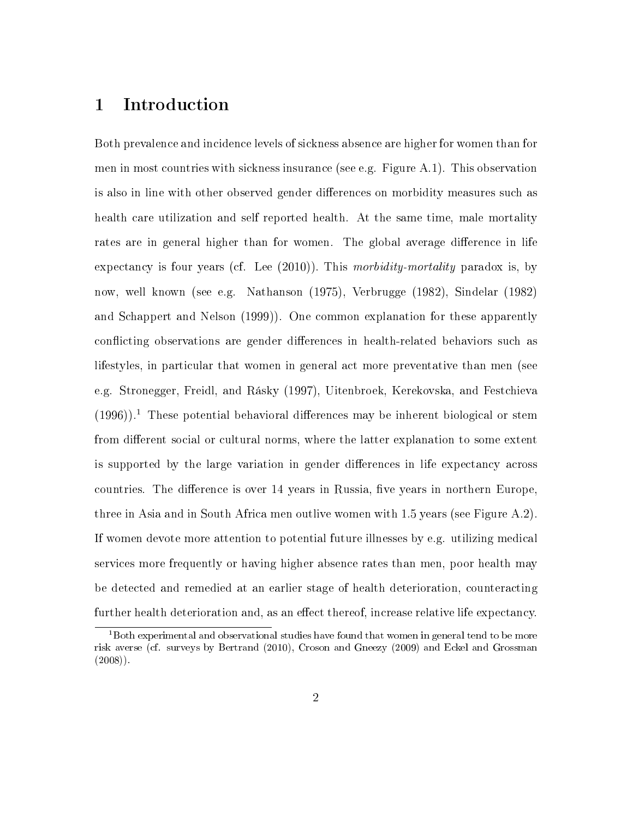# 1 Introduction

Both prevalence and incidence levels of sickness absence are higher for women than for men in most countries with sickness insurance (see e.g. Figure A.1). This observation is also in line with other observed gender differences on morbidity measures such as health care utilization and self reported health. At the same time, male mortality rates are in general higher than for women. The global average difference in life expectancy is four years (cf. Lee (2010)). This morbidity-mortality paradox is, by now, well known (see e.g. Nathanson (1975), Verbrugge (1982), Sindelar (1982) and Schappert and Nelson (1999)). One common explanation for these apparently conflicting observations are gender differences in health-related behaviors such as lifestyles, in particular that women in general act more preventative than men (see e.g. Stronegger, Freidl, and Rásky (1997), Uitenbroek, Kerekovska, and Festchieva  $(1996)$ .<sup>1</sup> These potential behavioral differences may be inherent biological or stem from different social or cultural norms, where the latter explanation to some extent is supported by the large variation in gender differences in life expectancy across countries. The difference is over 14 years in Russia, five years in northern Europe, three in Asia and in South Africa men outlive women with 1.5 years (see Figure A.2). If women devote more attention to potential future illnesses by e.g. utilizing medical services more frequently or having higher absence rates than men, poor health may be detected and remedied at an earlier stage of health deterioration, counteracting further health deterioration and, as an effect thereof, increase relative life expectancy.

<sup>&</sup>lt;sup>1</sup>Both experimental and observational studies have found that women in general tend to be more risk averse (cf. surveys by Bertrand (2010), Croson and Gneezy (2009) and Eckel and Grossman  $(2008)$ ).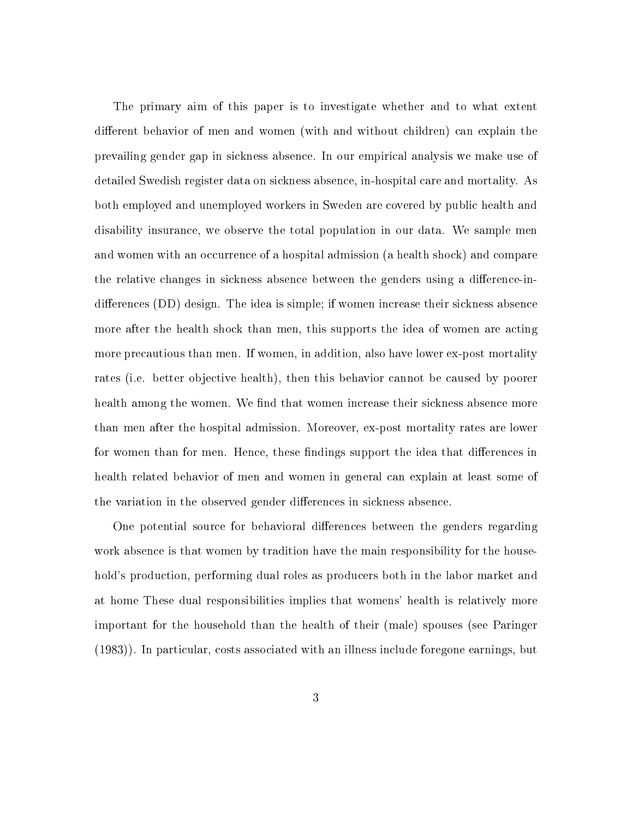The primary aim of this paper is to investigate whether and to what extent different behavior of men and women (with and without children) can explain the prevailing gender gap in sickness absence. In our empirical analysis we make use of detailed Swedish register data on sickness absence, in-hospital care and mortality. As both employed and unemployed workers in Sweden are covered by public health and disability insurance, we observe the total population in our data. We sample men and women with an occurrence of a hospital admission (a health shock) and compare the relative changes in sickness absence between the genders using a difference-indifferences  $(DD)$  design. The idea is simple; if women increase their sickness absence more after the health shock than men, this supports the idea of women are acting more precautious than men. If women, in addition, also have lower ex-post mortality rates (i.e. better objective health), then this behavior cannot be caused by poorer health among the women. We find that women increase their sickness absence more than men after the hospital admission. Moreover, ex-post mortality rates are lower for women than for men. Hence, these findings support the idea that differences in health related behavior of men and women in general can explain at least some of the variation in the observed gender differences in sickness absence.

One potential source for behavioral differences between the genders regarding work absence is that women by tradition have the main responsibility for the household's production, performing dual roles as producers both in the labor market and at home These dual responsibilities implies that womens' health is relatively more important for the household than the health of their (male) spouses (see Paringer (1983)). In particular, costs associated with an illness include foregone earnings, but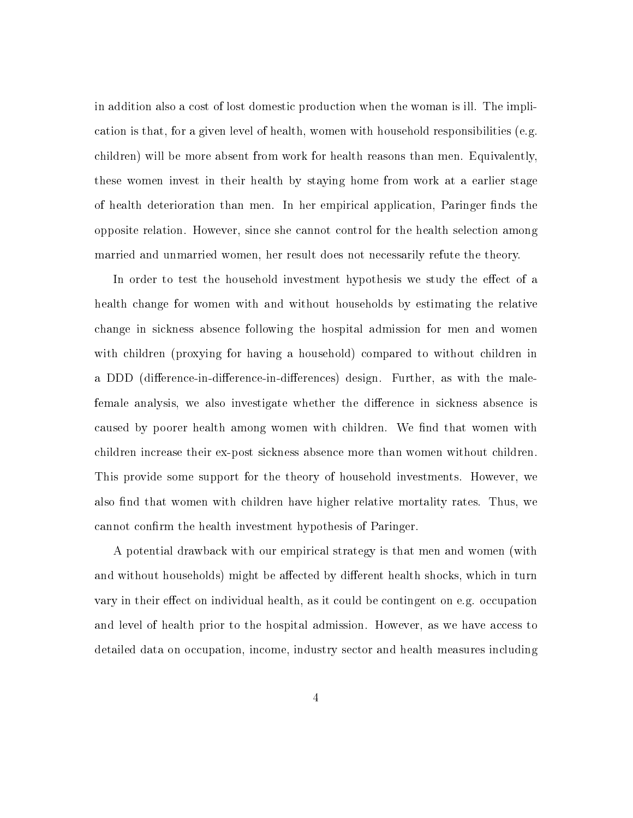in addition also a cost of lost domestic production when the woman is ill. The implication is that, for a given level of health, women with household responsibilities (e.g. children) will be more absent from work for health reasons than men. Equivalently, these women invest in their health by staying home from work at a earlier stage of health deterioration than men. In her empirical application, Paringer finds the opposite relation. However, since she cannot control for the health selection among married and unmarried women, her result does not necessarily refute the theory.

In order to test the household investment hypothesis we study the effect of a health change for women with and without households by estimating the relative change in sickness absence following the hospital admission for men and women with children (proxying for having a household) compared to without children in a DDD (difference-in-difference-in-differences) design. Further, as with the malefemale analysis, we also investigate whether the difference in sickness absence is caused by poorer health among women with children. We find that women with children increase their ex-post sickness absence more than women without children. This provide some support for the theory of household investments. However, we also find that women with children have higher relative mortality rates. Thus, we cannot confirm the health investment hypothesis of Paringer.

A potential drawback with our empirical strategy is that men and women (with and without households) might be affected by different health shocks, which in turn vary in their effect on individual health, as it could be contingent on e.g. occupation and level of health prior to the hospital admission. However, as we have access to detailed data on occupation, income, industry sector and health measures including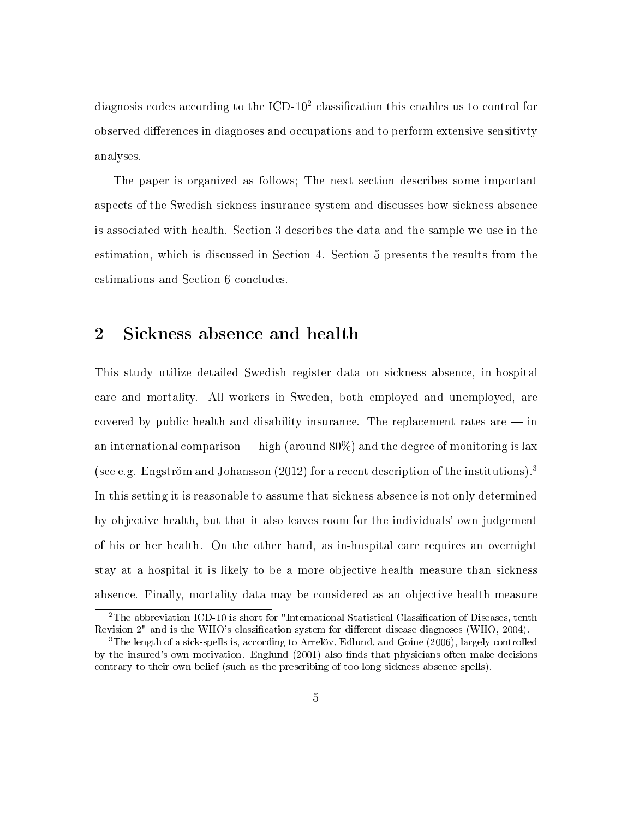diagnosis codes according to the  $\text{ICD-10}^2$  classification this enables us to control for observed differences in diagnoses and occupations and to perform extensive sensitivity analyses.

The paper is organized as follows; The next section describes some important aspects of the Swedish sickness insurance system and discusses how sickness absence is associated with health. Section 3 describes the data and the sample we use in the estimation, which is discussed in Section 4. Section 5 presents the results from the estimations and Section 6 concludes.

# 2 Sickness absence and health

This study utilize detailed Swedish register data on sickness absence, in-hospital care and mortality. All workers in Sweden, both employed and unemployed, are covered by public health and disability insurance. The replacement rates are  $-$  in an international comparison  $-\text{high}$  (around 80%) and the degree of monitoring is lax (see e.g. Engström and Johansson  $(2012)$  for a recent description of the institutions).<sup>3</sup> In this setting it is reasonable to assume that sickness absence is not only determined by objective health, but that it also leaves room for the individuals' own judgement of his or her health. On the other hand, as in-hospital care requires an overnight stay at a hospital it is likely to be a more objective health measure than sickness absence. Finally, mortality data may be considered as an objective health measure

 $2$ The abbreviation ICD-10 is short for "International Statistical Classification of Diseases, tenth Revision 2" and is the WHO's classification system for different disease diagnoses (WHO, 2004).

<sup>&</sup>lt;sup>3</sup>The length of a sick-spells is, according to Arrelöv, Edlund, and Goine (2006), largely controlled by the insured's own motivation. Englund  $(2001)$  also finds that physicians often make decisions contrary to their own belief (such as the prescribing of too long sickness absence spells).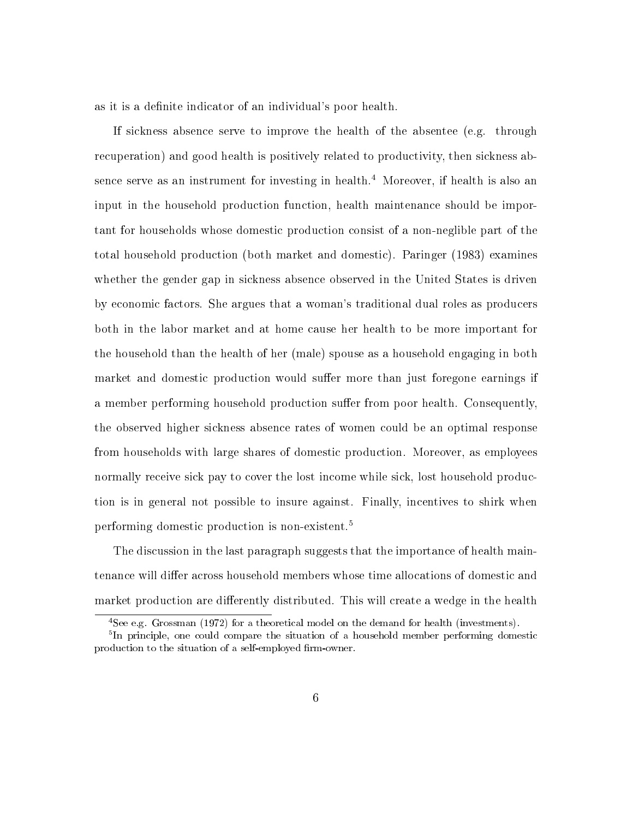as it is a definite indicator of an individual's poor health.

If sickness absence serve to improve the health of the absentee (e.g. through recuperation) and good health is positively related to productivity, then sickness absence serve as an instrument for investing in health.<sup>4</sup> Moreover, if health is also an input in the household production function, health maintenance should be important for households whose domestic production consist of a non-neglible part of the total household production (both market and domestic). Paringer (1983) examines whether the gender gap in sickness absence observed in the United States is driven by economic factors. She argues that a woman's traditional dual roles as producers both in the labor market and at home cause her health to be more important for the household than the health of her (male) spouse as a household engaging in both market and domestic production would suffer more than just foregone earnings if a member performing household production suffer from poor health. Consequently, the observed higher sickness absence rates of women could be an optimal response from households with large shares of domestic production. Moreover, as employees normally receive sick pay to cover the lost income while sick, lost household production is in general not possible to insure against. Finally, incentives to shirk when performing domestic production is non-existent.<sup>5</sup>

The discussion in the last paragraph suggests that the importance of health maintenance will differ across household members whose time allocations of domestic and market production are differently distributed. This will create a wedge in the health

<sup>4</sup>See e.g. Grossman (1972) for a theoretical model on the demand for health (investments).

<sup>&</sup>lt;sup>5</sup>In principle, one could compare the situation of a household member performing domestic production to the situation of a self-employed firm-owner.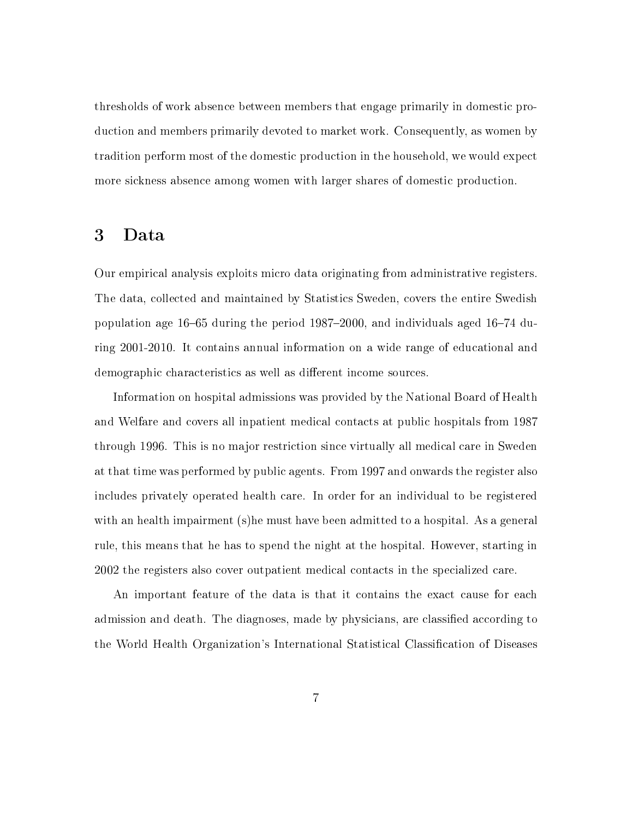thresholds of work absence between members that engage primarily in domestic production and members primarily devoted to market work. Consequently, as women by tradition perform most of the domestic production in the household, we would expect more sickness absence among women with larger shares of domestic production.

### 3 Data

Our empirical analysis exploits micro data originating from administrative registers. The data, collected and maintained by Statistics Sweden, covers the entire Swedish population age  $16-65$  during the period  $1987-2000$ , and individuals aged  $16-74$  during 2001-2010. It contains annual information on a wide range of educational and demographic characteristics as well as different income sources.

Information on hospital admissions was provided by the National Board of Health and Welfare and covers all inpatient medical contacts at public hospitals from 1987 through 1996. This is no major restriction since virtually all medical care in Sweden at that time was performed by public agents. From 1997 and onwards the register also includes privately operated health care. In order for an individual to be registered with an health impairment (s)he must have been admitted to a hospital. As a general rule, this means that he has to spend the night at the hospital. However, starting in 2002 the registers also cover outpatient medical contacts in the specialized care.

An important feature of the data is that it contains the exact cause for each admission and death. The diagnoses, made by physicians, are classified according to the World Health Organization's International Statistical Classification of Diseases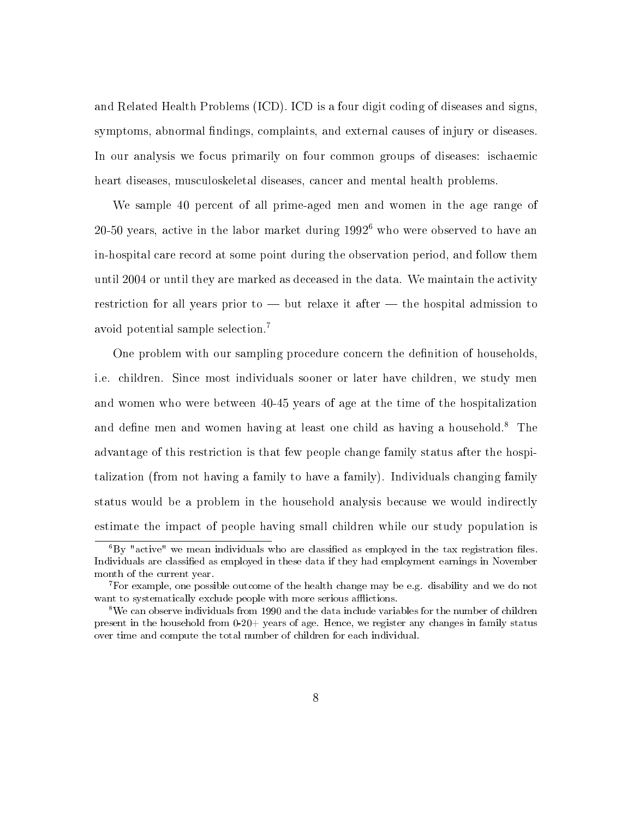and Related Health Problems (ICD). ICD is a four digit coding of diseases and signs, symptoms, abnormal findings, complaints, and external causes of injury or diseases. In our analysis we focus primarily on four common groups of diseases: ischaemic heart diseases, musculoskeletal diseases, cancer and mental health problems.

We sample 40 percent of all prime-aged men and women in the age range of 20-50 years, active in the labor market during 1992<sup>6</sup> who were observed to have an in-hospital care record at some point during the observation period, and follow them until 2004 or until they are marked as deceased in the data. We maintain the activity restriction for all years prior to  $-$  but relaxe it after  $-$  the hospital admission to avoid potential sample selection.<sup>7</sup>

One problem with our sampling procedure concern the definition of households. i.e. children. Since most individuals sooner or later have children, we study men and women who were between 40-45 years of age at the time of the hospitalization and define men and women having at least one child as having a household.<sup>8</sup> The advantage of this restriction is that few people change family status after the hospitalization (from not having a family to have a family). Individuals changing family status would be a problem in the household analysis because we would indirectly estimate the impact of people having small children while our study population is

 $6By$  "active" we mean individuals who are classified as employed in the tax registration files. Individuals are classied as employed in these data if they had employment earnings in November month of the current year.

<sup>7</sup>For example, one possible outcome of the health change may be e.g. disability and we do not want to systematically exclude people with more serious afflictions.

<sup>&</sup>lt;sup>8</sup>We can observe individuals from 1990 and the data include variables for the number of children present in the household from  $0-20+$  years of age. Hence, we register any changes in family status over time and compute the total number of children for each individual.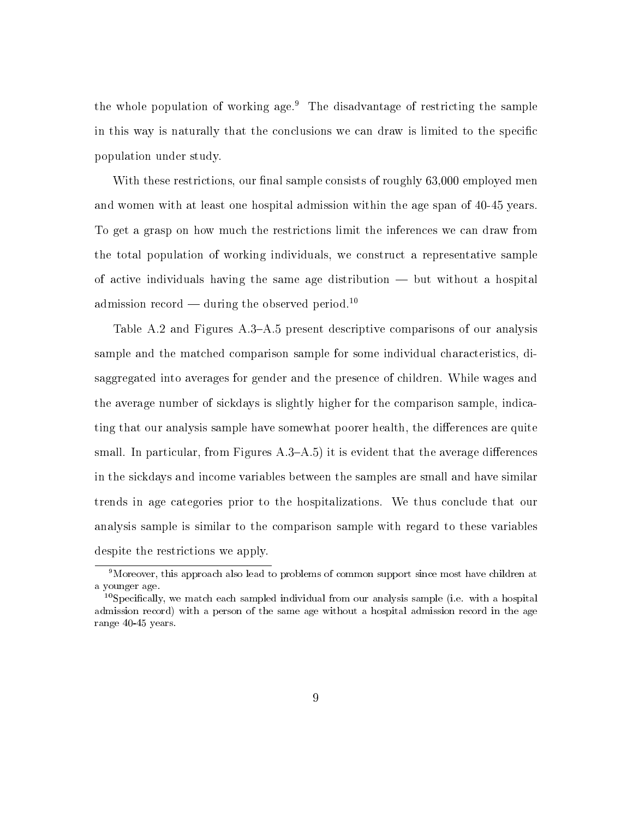the whole population of working age.<sup>9</sup> The disadvantage of restricting the sample in this way is naturally that the conclusions we can draw is limited to the specific population under study.

With these restrictions, our final sample consists of roughly  $63,000$  employed men and women with at least one hospital admission within the age span of 40-45 years. To get a grasp on how much the restrictions limit the inferences we can draw from the total population of working individuals, we construct a representative sample of active individuals having the same age distribution  $-$  but without a hospital admission record — during the observed period.<sup>10</sup>

Table A.2 and Figures A.3-A.5 present descriptive comparisons of our analysis sample and the matched comparison sample for some individual characteristics, disaggregated into averages for gender and the presence of children. While wages and the average number of sickdays is slightly higher for the comparison sample, indicating that our analysis sample have somewhat poorer health, the differences are quite small. In particular, from Figures  $A.3-A.5$ ) it is evident that the average differences in the sickdays and income variables between the samples are small and have similar trends in age categories prior to the hospitalizations. We thus conclude that our analysis sample is similar to the comparison sample with regard to these variables despite the restrictions we apply.

<sup>&</sup>lt;sup>9</sup>Moreover, this approach also lead to problems of common support since most have children at a younger age.

<sup>&</sup>lt;sup>10</sup>Specifically, we match each sampled individual from our analysis sample (i.e. with a hospital admission record) with a person of the same age without a hospital admission record in the age range 40-45 years.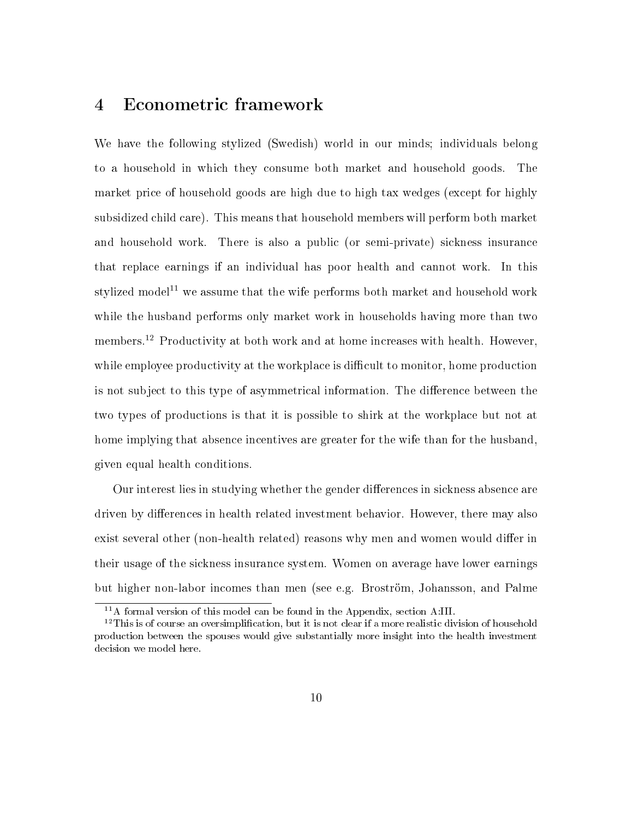# 4 Econometric framework

We have the following stylized (Swedish) world in our minds; individuals belong to a household in which they consume both market and household goods. The market price of household goods are high due to high tax wedges (except for highly subsidized child care). This means that household members will perform both market and household work. There is also a public (or semi-private) sickness insurance that replace earnings if an individual has poor health and cannot work. In this stylized model<sup>11</sup> we assume that the wife performs both market and household work while the husband performs only market work in households having more than two members.<sup>12</sup> Productivity at both work and at home increases with health. However, while employee productivity at the workplace is difficult to monitor, home production is not subject to this type of asymmetrical information. The difference between the two types of productions is that it is possible to shirk at the workplace but not at home implying that absence incentives are greater for the wife than for the husband, given equal health conditions.

Our interest lies in studying whether the gender differences in sickness absence are driven by differences in health related investment behavior. However, there may also exist several other (non-health related) reasons why men and women would differ in their usage of the sickness insurance system. Women on average have lower earnings but higher non-labor incomes than men (see e.g. Broström, Johansson, and Palme

<sup>11</sup>A formal version of this model can be found in the Appendix, section A:III.

 $12$ This is of course an oversimplification, but it is not clear if a more realistic division of household production between the spouses would give substantially more insight into the health investment decision we model here.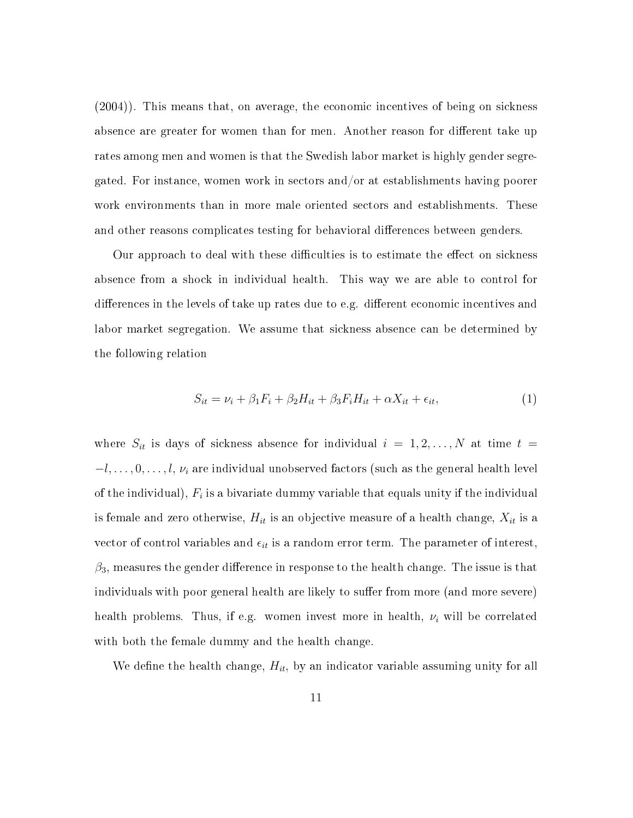(2004)). This means that, on average, the economic incentives of being on sickness absence are greater for women than for men. Another reason for different take up rates among men and women is that the Swedish labor market is highly gender segregated. For instance, women work in sectors and/or at establishments having poorer work environments than in more male oriented sectors and establishments. These and other reasons complicates testing for behavioral differences between genders.

Our approach to deal with these difficulties is to estimate the effect on sickness absence from a shock in individual health. This way we are able to control for differences in the levels of take up rates due to e.g. different economic incentives and labor market segregation. We assume that sickness absence can be determined by the following relation

$$
S_{it} = \nu_i + \beta_1 F_i + \beta_2 H_{it} + \beta_3 F_i H_{it} + \alpha X_{it} + \epsilon_{it},\tag{1}
$$

where  $S_{it}$  is days of sickness absence for individual  $i = 1, 2, ..., N$  at time  $t =$ *−l,* ..., 0, ..., *l, v<sub>i</sub>* are individual unobserved factors (such as the general health level of the individual),  $F_i$  is a bivariate dummy variable that equals unity if the individual is female and zero otherwise,  $H_{it}$  is an objective measure of a health change,  $X_{it}$  is a vector of control variables and  $\epsilon_{it}$  is a random error term. The parameter of interest,  $\beta_3$ , measures the gender difference in response to the health change. The issue is that individuals with poor general health are likely to suffer from more (and more severe) health problems. Thus, if e.g. women invest more in health, *ν<sup>i</sup>* will be correlated with both the female dummy and the health change.

We define the health change,  $H_{it}$ , by an indicator variable assuming unity for all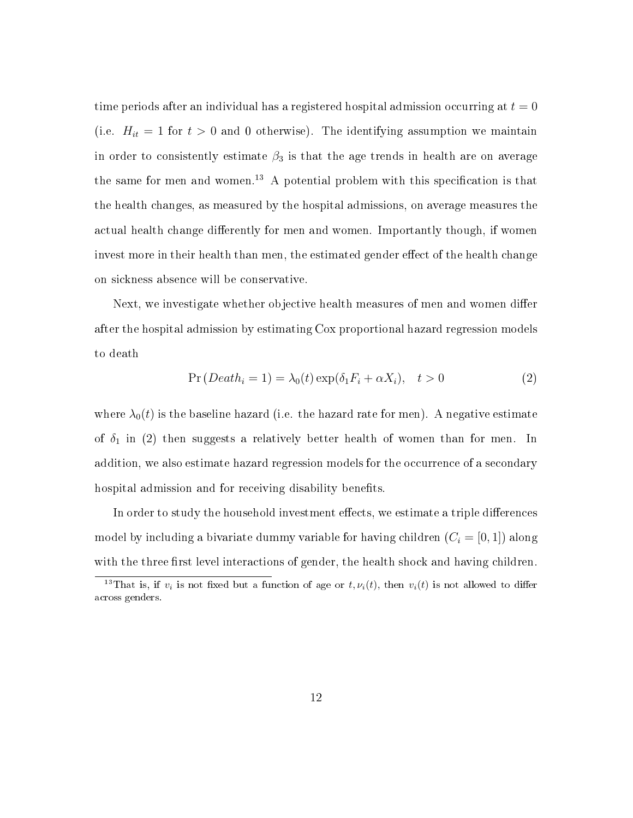time periods after an individual has a registered hospital admission occurring at  $t = 0$ (i.e.  $H_{it} = 1$  for  $t > 0$  and 0 otherwise). The identifying assumption we maintain in order to consistently estimate  $\beta_3$  is that the age trends in health are on average the same for men and women.<sup>13</sup> A potential problem with this specification is that the health changes, as measured by the hospital admissions, on average measures the actual health change differently for men and women. Importantly though, if women invest more in their health than men, the estimated gender effect of the health change on sickness absence will be conservative.

Next, we investigate whether objective health measures of men and women differ after the hospital admission by estimating Cox proportional hazard regression models to death

$$
Pr(Deathi = 1) = \lambda_0(t) \exp(\delta_1 F_i + \alpha X_i), \quad t > 0
$$
\n(2)

where  $\lambda_0(t)$  is the baseline hazard (i.e. the hazard rate for men). A negative estimate of  $\delta_1$  in (2) then suggests a relatively better health of women than for men. In addition, we also estimate hazard regression models for the occurrence of a secondary hospital admission and for receiving disability benefits.

In order to study the household investment effects, we estimate a triple differences model by including a bivariate dummy variable for having children  $(C_i = [0, 1])$  along with the three first level interactions of gender, the health shock and having children.

<sup>&</sup>lt;sup>13</sup>That is, if  $v_i$  is not fixed but a function of age or  $t, \nu_i(t)$ , then  $v_i(t)$  is not allowed to differ across genders.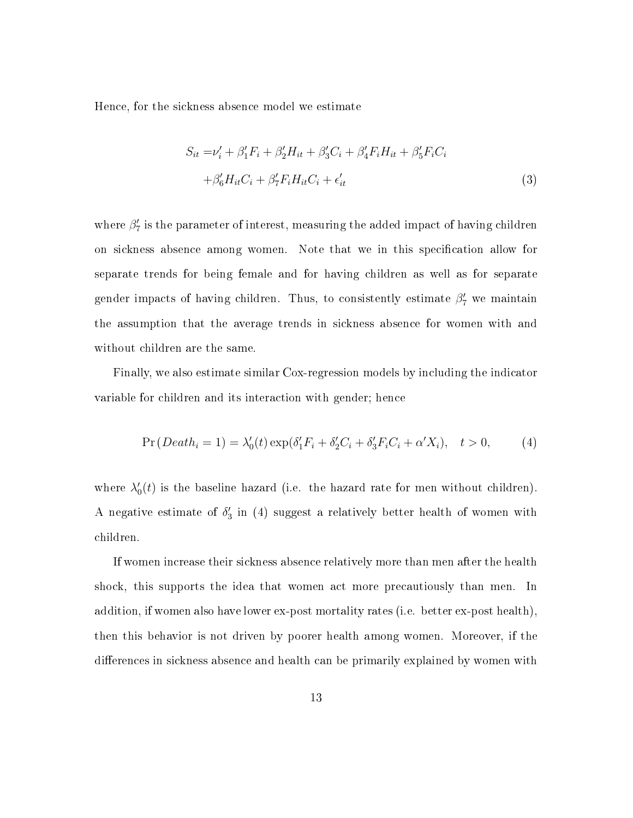Hence, for the sickness absence model we estimate

$$
S_{it} = \nu_i' + \beta_1' F_i + \beta_2' H_{it} + \beta_3' C_i + \beta_4' F_i H_{it} + \beta_5' F_i C_i
$$
  
+  $\beta_6' H_{it} C_i + \beta_7' F_i H_{it} C_i + \epsilon_{it}'$  (3)

where  $\beta'$ <sub>7</sub> is the parameter of interest, measuring the added impact of having children on sickness absence among women. Note that we in this specification allow for separate trends for being female and for having children as well as for separate gender impacts of having children. Thus, to consistently estimate *β ′* <sup>7</sup> we maintain the assumption that the average trends in sickness absence for women with and without children are the same.

Finally, we also estimate similar Cox-regression models by including the indicator variable for children and its interaction with gender; hence

$$
Pr(Death_i = 1) = \lambda'_0(t) \exp(\delta'_1 F_i + \delta'_2 C_i + \delta'_3 F_i C_i + \alpha' X_i), \quad t > 0,
$$
 (4)

where  $\lambda'_0(t)$  is the baseline hazard (i.e. the hazard rate for men without children). A negative estimate of  $\delta'_{3}$  in (4) suggest a relatively better health of women with children.

If women increase their sickness absence relatively more than men after the health shock, this supports the idea that women act more precautiously than men. In addition, if women also have lower ex-post mortality rates (i.e. better ex-post health), then this behavior is not driven by poorer health among women. Moreover, if the differences in sickness absence and health can be primarily explained by women with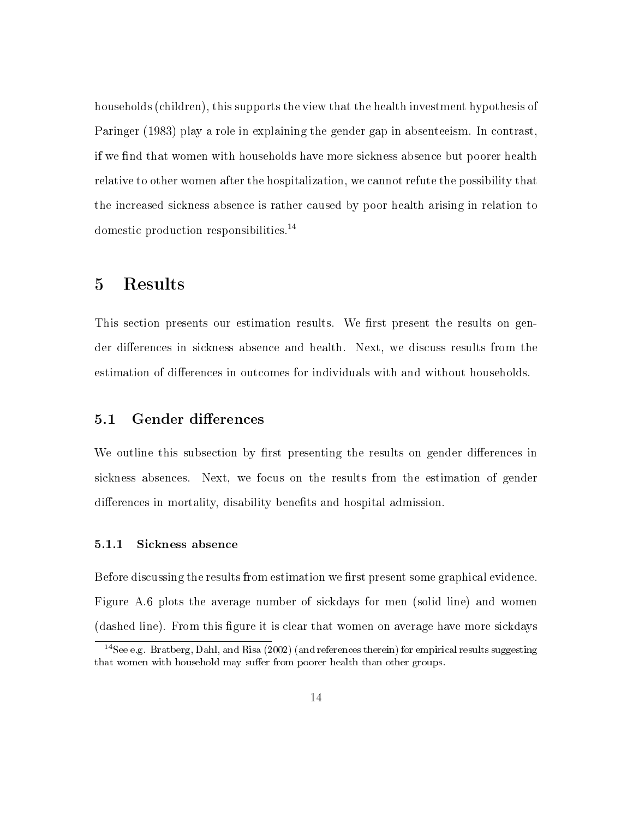households (children), this supports the view that the health investment hypothesis of Paringer (1983) play a role in explaining the gender gap in absenteeism. In contrast, if we find that women with households have more sickness absence but poorer health relative to other women after the hospitalization, we cannot refute the possibility that the increased sickness absence is rather caused by poor health arising in relation to domestic production responsibilities.<sup>14</sup>

## 5 Results

This section presents our estimation results. We first present the results on gender differences in sickness absence and health. Next, we discuss results from the estimation of differences in outcomes for individuals with and without households.

#### 5.1 Gender differences

We outline this subsection by first presenting the results on gender differences in sickness absences. Next, we focus on the results from the estimation of gender differences in mortality, disability benefits and hospital admission.

#### 5.1.1 Sickness absence

Before discussing the results from estimation we first present some graphical evidence. Figure A.6 plots the average number of sickdays for men (solid line) and women (dashed line). From this figure it is clear that women on average have more sickdays

<sup>14</sup>See e.g. Bratberg, Dahl, and Risa (2002) (and references therein) for empirical results suggesting that women with household may suffer from poorer health than other groups.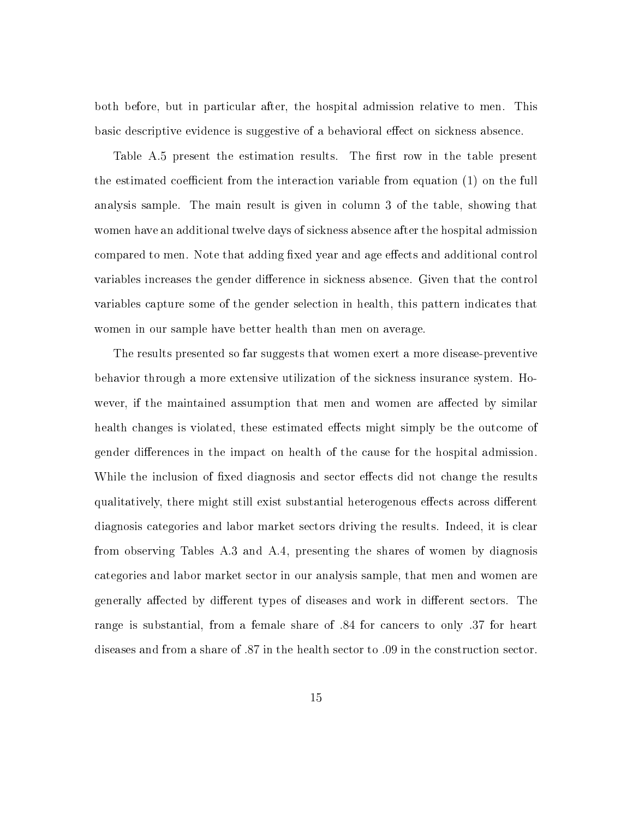both before, but in particular after, the hospital admission relative to men. This basic descriptive evidence is suggestive of a behavioral effect on sickness absence.

Table A.5 present the estimation results. The first row in the table present the estimated coefficient from the interaction variable from equation  $(1)$  on the full analysis sample. The main result is given in column 3 of the table, showing that women have an additional twelve days of sickness absence after the hospital admission compared to men. Note that adding fixed year and age effects and additional control variables increases the gender difference in sickness absence. Given that the control variables capture some of the gender selection in health, this pattern indicates that women in our sample have better health than men on average.

The results presented so far suggests that women exert a more disease-preventive behavior through a more extensive utilization of the sickness insurance system. However, if the maintained assumption that men and women are affected by similar health changes is violated, these estimated effects might simply be the outcome of gender differences in the impact on health of the cause for the hospital admission. While the inclusion of fixed diagnosis and sector effects did not change the results qualitatively, there might still exist substantial heterogenous effects across different diagnosis categories and labor market sectors driving the results. Indeed, it is clear from observing Tables A.3 and A.4, presenting the shares of women by diagnosis categories and labor market sector in our analysis sample, that men and women are generally affected by different types of diseases and work in different sectors. The range is substantial, from a female share of *.*84 for cancers to only *.*37 for heart diseases and from a share of *.*87 in the health sector to *.*09 in the construction sector.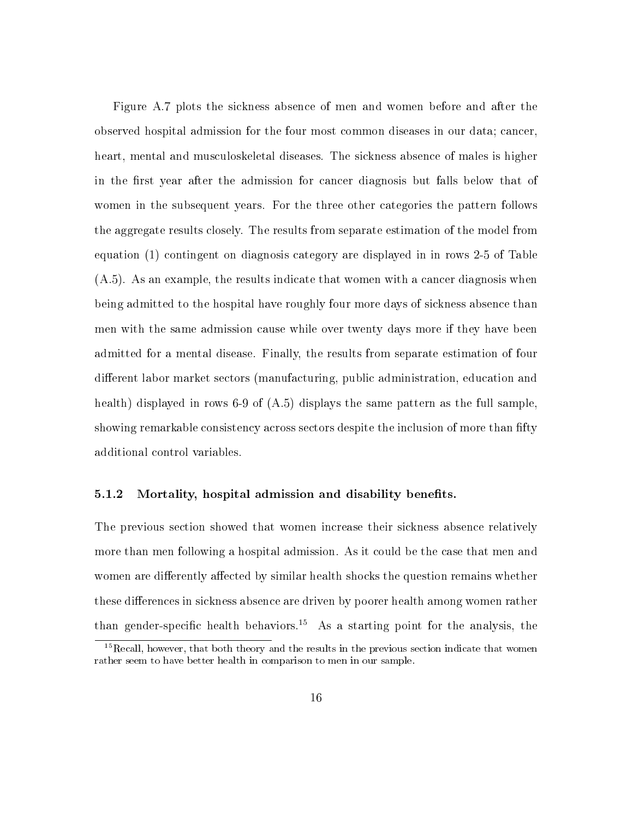Figure A.7 plots the sickness absence of men and women before and after the observed hospital admission for the four most common diseases in our data; cancer, heart, mental and musculoskeletal diseases. The sickness absence of males is higher in the first year after the admission for cancer diagnosis but falls below that of women in the subsequent years. For the three other categories the pattern follows the aggregate results closely. The results from separate estimation of the model from equation (1) contingent on diagnosis category are displayed in in rows 2-5 of Table (A.5). As an example, the results indicate that women with a cancer diagnosis when being admitted to the hospital have roughly four more days of sickness absence than men with the same admission cause while over twenty days more if they have been admitted for a mental disease. Finally, the results from separate estimation of four different labor market sectors (manufacturing, public administration, education and health) displayed in rows 6-9 of  $(A.5)$  displays the same pattern as the full sample, showing remarkable consistency across sectors despite the inclusion of more than fifty additional control variables.

#### 5.1.2 Mortality, hospital admission and disability benefits.

The previous section showed that women increase their sickness absence relatively more than men following a hospital admission. As it could be the case that men and women are differently affected by similar health shocks the question remains whether these differences in sickness absence are driven by poorer health among women rather than gender-specific health behaviors.<sup>15</sup> As a starting point for the analysis, the

 $15$ Recall, however, that both theory and the results in the previous section indicate that women rather seem to have better health in comparison to men in our sample.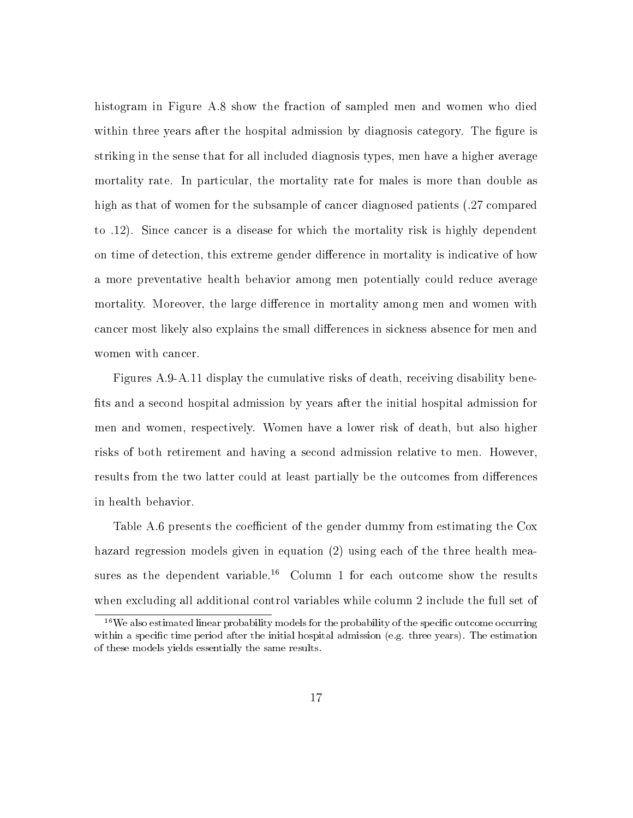histogram in Figure A.8 show the fraction of sampled men and women who died within three years after the hospital admission by diagnosis category. The figure is striking in the sense that for all included diagnosis types, men have a higher average mortality rate. In particular, the mortality rate for males is more than double as high as that of women for the subsample of cancer diagnosed patients (*.*27 compared to *.*12). Since cancer is a disease for which the mortality risk is highly dependent on time of detection, this extreme gender difference in mortality is indicative of how a more preventative health behavior among men potentially could reduce average mortality. Moreover, the large difference in mortality among men and women with cancer most likely also explains the small differences in sickness absence for men and women with cancer.

Figures A.9-A.11 display the cumulative risks of death, receiving disability bene fits and a second hospital admission by years after the initial hospital admission for men and women, respectively. Women have a lower risk of death, but also higher risks of both retirement and having a second admission relative to men. However, results from the two latter could at least partially be the outcomes from differences in health behavior.

Table A.6 presents the coefficient of the gender dummy from estimating the Cox hazard regression models given in equation (2) using each of the three health measures as the dependent variable.<sup>16</sup> Column 1 for each outcome show the results when excluding all additional control variables while column 2 include the full set of

 $16$ We also estimated linear probability models for the probability of the specific outcome occurring within a specific time period after the initial hospital admission (e.g. three years). The estimation of these models yields essentially the same results.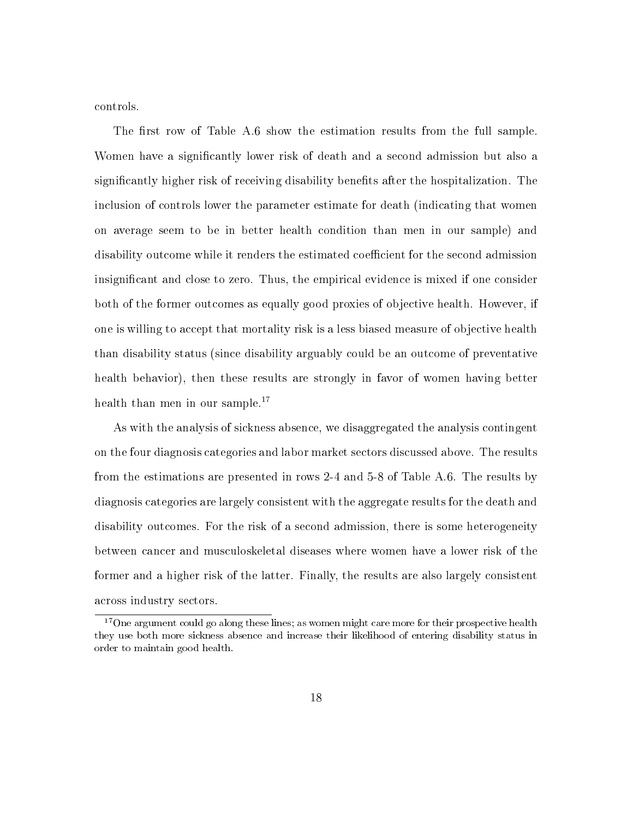controls.

The first row of Table A.6 show the estimation results from the full sample. Women have a signicantly lower risk of death and a second admission but also a significantly higher risk of receiving disability benefits after the hospitalization. The inclusion of controls lower the parameter estimate for death (indicating that women on average seem to be in better health condition than men in our sample) and disability outcome while it renders the estimated coefficient for the second admission insignicant and close to zero. Thus, the empirical evidence is mixed if one consider both of the former outcomes as equally good proxies of objective health. However, if one is willing to accept that mortality risk is a less biased measure of objective health than disability status (since disability arguably could be an outcome of preventative health behavior), then these results are strongly in favor of women having better health than men in our sample.<sup>17</sup>

As with the analysis of sickness absence, we disaggregated the analysis contingent on the four diagnosis categories and labor market sectors discussed above. The results from the estimations are presented in rows 2-4 and 5-8 of Table A.6. The results by diagnosis categories are largely consistent with the aggregate results for the death and disability outcomes. For the risk of a second admission, there is some heterogeneity between cancer and musculoskeletal diseases where women have a lower risk of the former and a higher risk of the latter. Finally, the results are also largely consistent across industry sectors.

<sup>&</sup>lt;sup>17</sup> One argument could go along these lines; as women might care more for their prospective health they use both more sickness absence and increase their likelihood of entering disability status in order to maintain good health.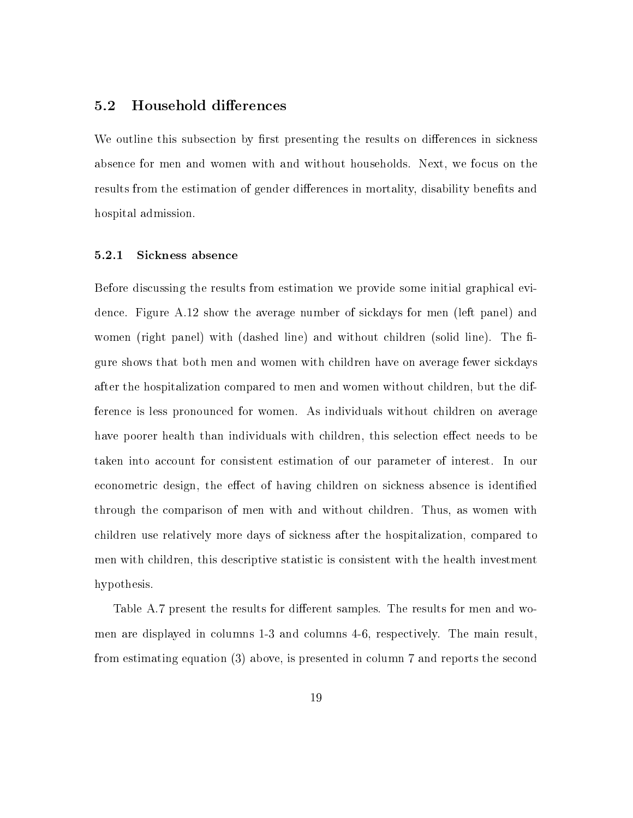#### 5.2 Household differences

We outline this subsection by first presenting the results on differences in sickness absence for men and women with and without households. Next, we focus on the results from the estimation of gender differences in mortality, disability benefits and hospital admission.

#### 5.2.1 Sickness absence

Before discussing the results from estimation we provide some initial graphical evidence. Figure A.12 show the average number of sickdays for men (left panel) and women (right panel) with (dashed line) and without children (solid line). The figure shows that both men and women with children have on average fewer sickdays after the hospitalization compared to men and women without children, but the difference is less pronounced for women. As individuals without children on average have poorer health than individuals with children, this selection effect needs to be taken into account for consistent estimation of our parameter of interest. In our econometric design, the effect of having children on sickness absence is identified through the comparison of men with and without children. Thus, as women with children use relatively more days of sickness after the hospitalization, compared to men with children, this descriptive statistic is consistent with the health investment hypothesis.

Table A.7 present the results for different samples. The results for men and women are displayed in columns 1-3 and columns 4-6, respectively. The main result, from estimating equation (3) above, is presented in column 7 and reports the second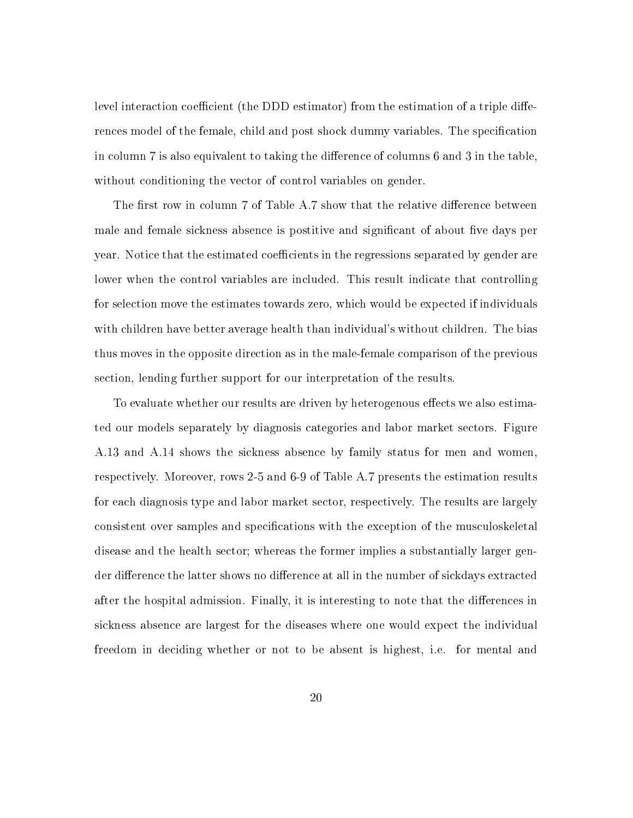level interaction coefficient (the DDD estimator) from the estimation of a triple differences model of the female, child and post shock dummy variables. The specification in column  $7$  is also equivalent to taking the difference of columns  $6$  and  $3$  in the table. without conditioning the vector of control variables on gender.

The first row in column 7 of Table A.7 show that the relative difference between male and female sickness absence is postitive and significant of about five days per year. Notice that the estimated coefficients in the regressions separated by gender are lower when the control variables are included. This result indicate that controlling for selection move the estimates towards zero, which would be expected if individuals with children have better average health than individual's without children. The bias thus moves in the opposite direction as in the male-female comparison of the previous section, lending further support for our interpretation of the results.

To evaluate whether our results are driven by heterogenous effects we also estimated our models separately by diagnosis categories and labor market sectors. Figure A.13 and A.14 shows the sickness absence by family status for men and women, respectively. Moreover, rows 2-5 and 6-9 of Table A.7 presents the estimation results for each diagnosis type and labor market sector, respectively. The results are largely consistent over samples and specifications with the exception of the musculoskeletal disease and the health sector; whereas the former implies a substantially larger gender difference the latter shows no difference at all in the number of sickdays extracted after the hospital admission. Finally, it is interesting to note that the differences in sickness absence are largest for the diseases where one would expect the individual freedom in deciding whether or not to be absent is highest, i.e. for mental and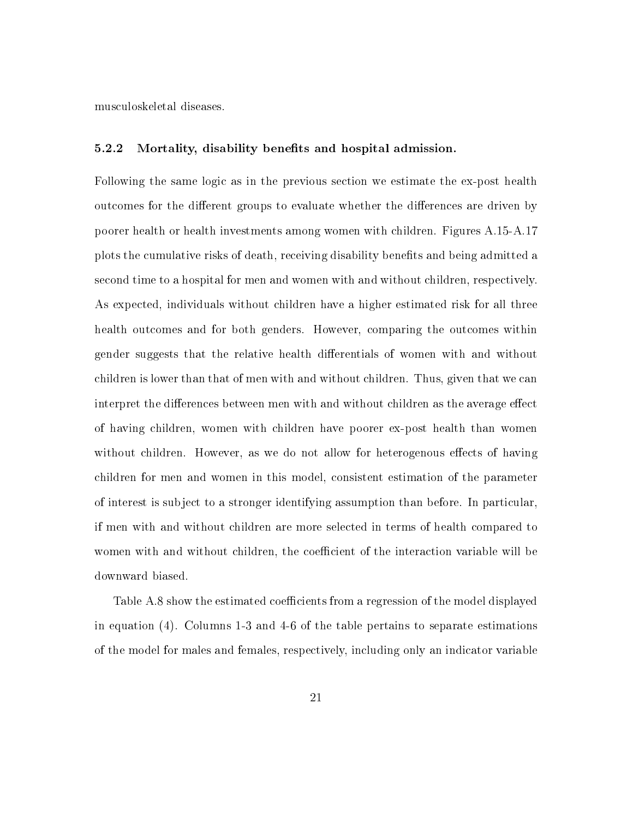musculoskeletal diseases.

#### 5.2.2 Mortality, disability benefits and hospital admission.

Following the same logic as in the previous section we estimate the ex-post health outcomes for the different groups to evaluate whether the differences are driven by poorer health or health investments among women with children. Figures A.15-A.17 plots the cumulative risks of death, receiving disability benets and being admitted a second time to a hospital for men and women with and without children, respectively. As expected, individuals without children have a higher estimated risk for all three health outcomes and for both genders. However, comparing the outcomes within gender suggests that the relative health dierentials of women with and without children is lower than that of men with and without children. Thus, given that we can interpret the differences between men with and without children as the average effect of having children, women with children have poorer ex-post health than women without children. However, as we do not allow for heterogenous effects of having children for men and women in this model, consistent estimation of the parameter of interest is subject to a stronger identifying assumption than before. In particular, if men with and without children are more selected in terms of health compared to women with and without children, the coefficient of the interaction variable will be downward biased.

Table A.8 show the estimated coefficients from a regression of the model displayed in equation (4). Columns 1-3 and 4-6 of the table pertains to separate estimations of the model for males and females, respectively, including only an indicator variable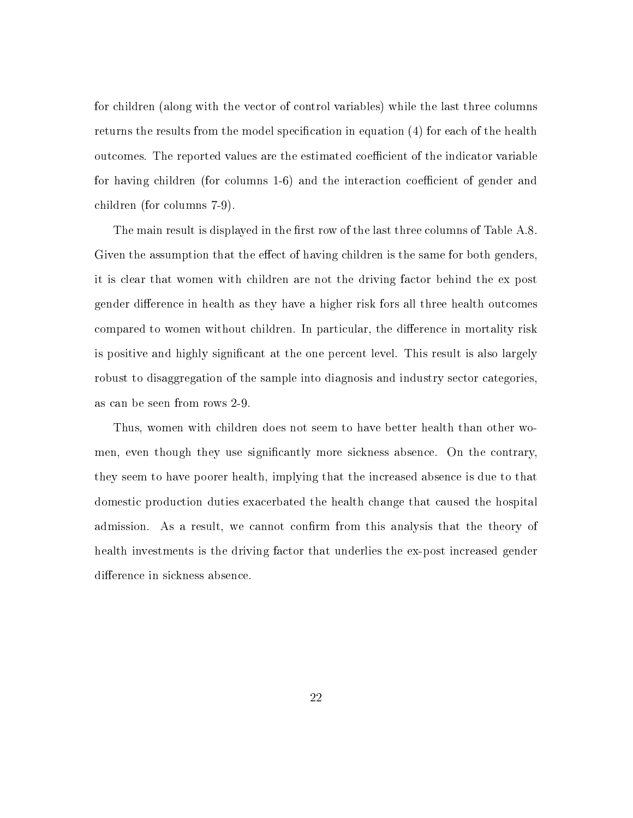for children (along with the vector of control variables) while the last three columns returns the results from the model specification in equation  $(4)$  for each of the health outcomes. The reported values are the estimated coefficient of the indicator variable for having children (for columns 1-6) and the interaction coefficient of gender and children (for columns 7-9).

The main result is displayed in the first row of the last three columns of Table A.8. Given the assumption that the effect of having children is the same for both genders, it is clear that women with children are not the driving factor behind the ex post gender difference in health as they have a higher risk fors all three health outcomes compared to women without children. In particular, the difference in mortality risk is positive and highly signicant at the one percent level. This result is also largely robust to disaggregation of the sample into diagnosis and industry sector categories, as can be seen from rows 2-9.

Thus, women with children does not seem to have better health than other women, even though they use signicantly more sickness absence. On the contrary, they seem to have poorer health, implying that the increased absence is due to that domestic production duties exacerbated the health change that caused the hospital admission. As a result, we cannot confirm from this analysis that the theory of health investments is the driving factor that underlies the ex-post increased gender difference in sickness absence.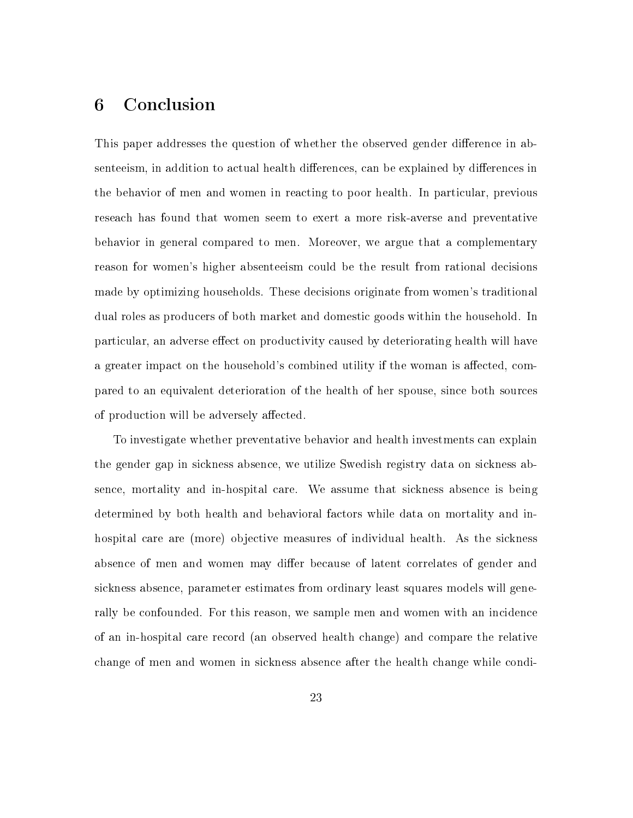# 6 Conclusion

This paper addresses the question of whether the observed gender difference in absenteeism, in addition to actual health differences, can be explained by differences in the behavior of men and women in reacting to poor health. In particular, previous reseach has found that women seem to exert a more risk-averse and preventative behavior in general compared to men. Moreover, we argue that a complementary reason for women's higher absenteeism could be the result from rational decisions made by optimizing households. These decisions originate from women's traditional dual roles as producers of both market and domestic goods within the household. In particular, an adverse effect on productivity caused by deteriorating health will have a greater impact on the household's combined utility if the woman is affected, compared to an equivalent deterioration of the health of her spouse, since both sources of production will be adversely affected.

To investigate whether preventative behavior and health investments can explain the gender gap in sickness absence, we utilize Swedish registry data on sickness absence, mortality and in-hospital care. We assume that sickness absence is being determined by both health and behavioral factors while data on mortality and inhospital care are (more) objective measures of individual health. As the sickness absence of men and women may differ because of latent correlates of gender and sickness absence, parameter estimates from ordinary least squares models will generally be confounded. For this reason, we sample men and women with an incidence of an in-hospital care record (an observed health change) and compare the relative change of men and women in sickness absence after the health change while condi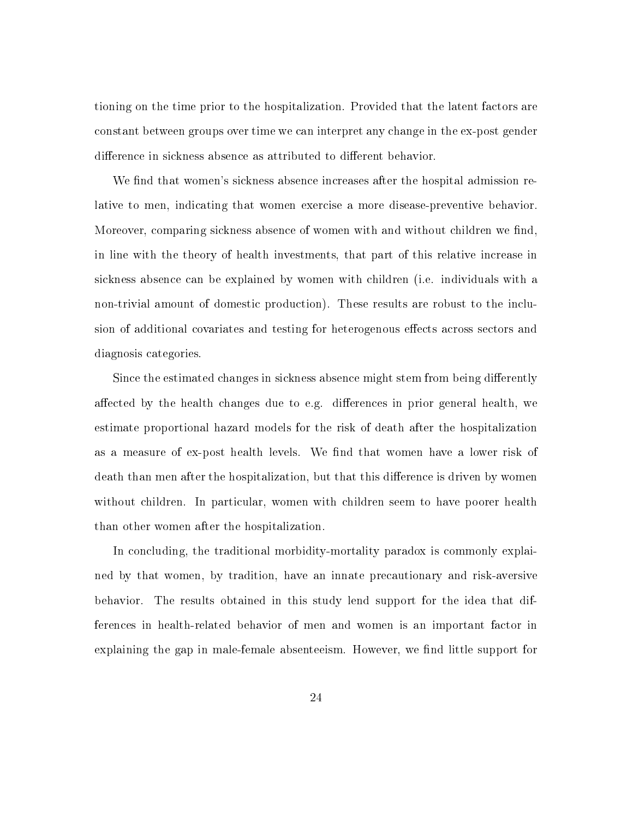tioning on the time prior to the hospitalization. Provided that the latent factors are constant between groups over time we can interpret any change in the ex-post gender difference in sickness absence as attributed to different behavior.

We find that women's sickness absence increases after the hospital admission relative to men, indicating that women exercise a more disease-preventive behavior. Moreover, comparing sickness absence of women with and without children we find, in line with the theory of health investments, that part of this relative increase in sickness absence can be explained by women with children (i.e. individuals with a non-trivial amount of domestic production). These results are robust to the inclusion of additional covariates and testing for heterogenous effects across sectors and diagnosis categories.

Since the estimated changes in sickness absence might stem from being differently affected by the health changes due to e.g. differences in prior general health, we estimate proportional hazard models for the risk of death after the hospitalization as a measure of ex-post health levels. We find that women have a lower risk of death than men after the hospitalization, but that this difference is driven by women without children. In particular, women with children seem to have poorer health than other women after the hospitalization.

In concluding, the traditional morbidity-mortality paradox is commonly explained by that women, by tradition, have an innate precautionary and risk-aversive behavior. The results obtained in this study lend support for the idea that differences in health-related behavior of men and women is an important factor in explaining the gap in male-female absenteeism. However, we find little support for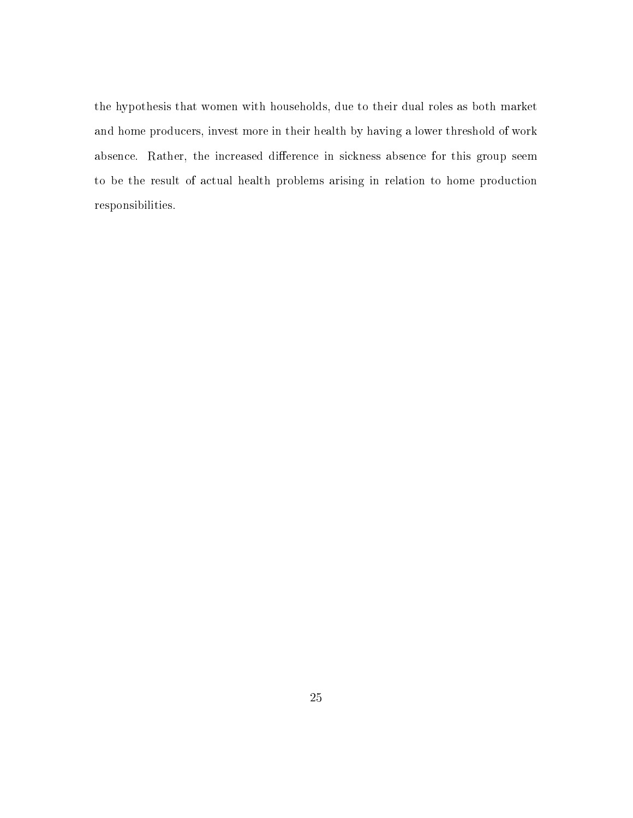the hypothesis that women with households, due to their dual roles as both market and home producers, invest more in their health by having a lower threshold of work absence. Rather, the increased difference in sickness absence for this group seem to be the result of actual health problems arising in relation to home production responsibilities.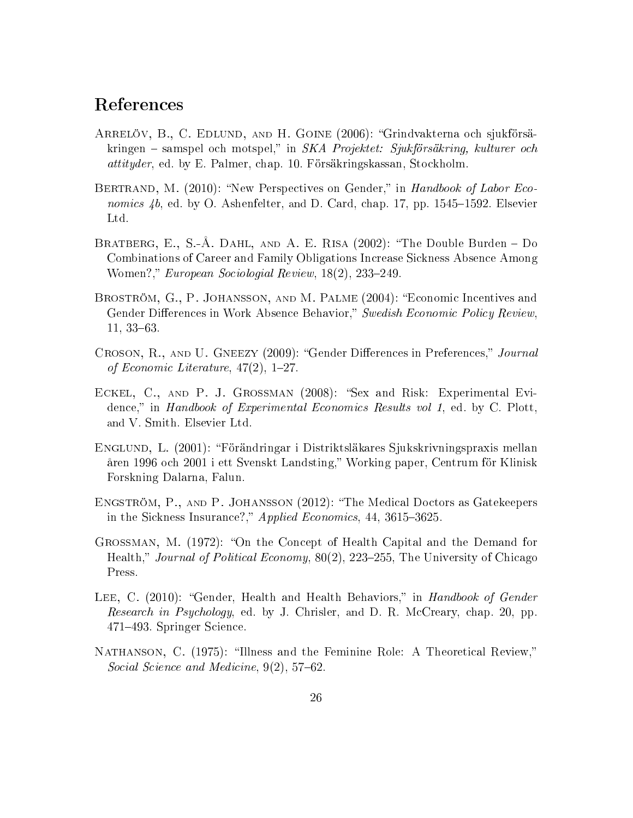# References

- Arrelöv, B., C. Edlund, and H. Goine (2006): Grindvakterna och sjukförsäkringen – samspel och motspel," in SKA Projektet: Sjukförsäkring, kulturer och attityder, ed. by E. Palmer, chap. 10. Försäkringskassan, Stockholm.
- BERTRAND, M. (2010): "New Perspectives on Gender," in Handbook of Labor Economics  $4b$ , ed. by O. Ashenfelter, and D. Card, chap. 17, pp. 1545–1592. Elsevier Ltd.
- BRATBERG, E., S.-Å. DAHL, AND A. E. RISA  $(2002)$ : "The Double Burden Do Combinations of Career and Family Obligations Increase Sickness Absence Among Women?," European Sociologial Review,  $18(2)$ , 233-249.
- BROSTRÖM, G., P. JOHANSSON, AND M. PALME (2004): "Economic Incentives and Gender Differences in Work Absence Behavior," Swedish Economic Policy Review.  $11, 33-63.$
- CROSON, R., AND U. GNEEZY (2009): "Gender Differences in Preferences," Journal of Economic Literature,  $47(2)$ , 1-27.
- ECKEL, C., AND P. J. GROSSMAN (2008): "Sex and Risk: Experimental Evidence," in Handbook of Experimental Economics Results vol 1, ed. by C. Plott. and V. Smith. Elsevier Ltd.
- Englund, L. (2001): Förändringar i Distriktsläkares Sjukskrivningspraxis mellan åren 1996 och 2001 i ett Svenskt Landsting," Working paper, Centrum för Klinisk Forskning Dalarna, Falun.
- Engström, P., and P. Johansson (2012): The Medical Doctors as Gatekeepers in the Sickness Insurance?," Applied Economics,  $44, 3615-3625$ .
- GROSSMAN, M. (1972): "On the Concept of Health Capital and the Demand for Health," Journal of Political Economy, 80(2), 223–255, The University of Chicago Press.
- LEE, C. (2010): "Gender, Health and Health Behaviors," in Handbook of Gender Research in Psychology, ed. by J. Chrisler, and D. R. McCreary, chap. 20, pp. 471493. Springer Science.
- NATHANSON, C. (1975): "Illness and the Feminine Role: A Theoretical Review," Social Science and Medicine,  $9(2)$ ,  $57-62$ .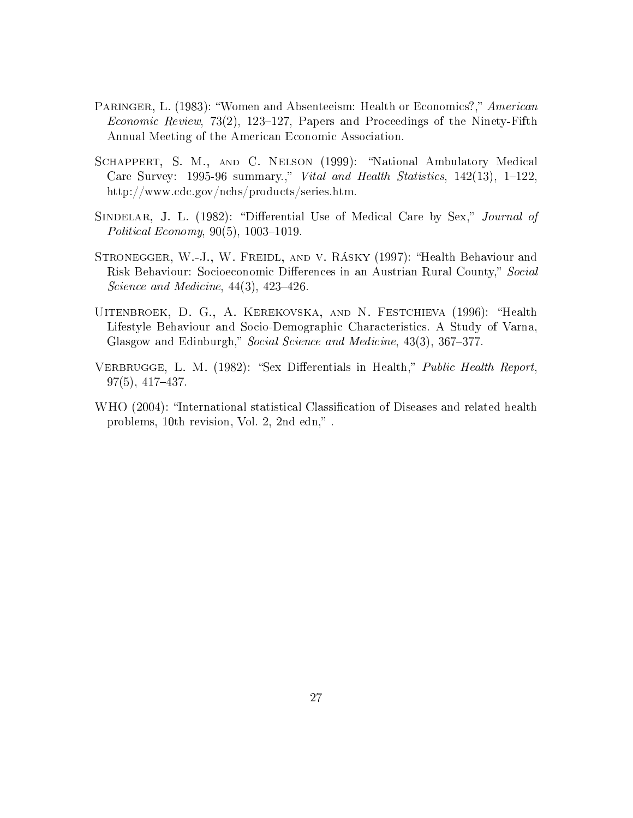- PARINGER, L. (1983): "Women and Absenteeism: Health or Economics?," American *Economic Review,* 73(2), 123–127, Papers and Proceedings of the Ninety-Fifth Annual Meeting of the American Economic Association.
- SCHAPPERT, S. M., AND C. NELSON (1999): "National Ambulatory Medical Care Survey: 1995-96 summary.," Vital and Health Statistics,  $142(13)$ ,  $1-122$ . http://www.cdc.gov/nchs/products/series.htm.
- SINDELAR, J. L. (1982): "Differential Use of Medical Care by Sex," Journal of Political Economy,  $90(5)$ ,  $1003-1019$ .
- STRONEGGER, W.-J., W. FREIDL, AND V. RÁSKY (1997): "Health Behaviour and Risk Behaviour: Socioeconomic Differences in an Austrian Rural County," Social Science and Medicine,  $44(3)$ ,  $423-426$ .
- UITENBROEK, D. G., A. KEREKOVSKA, AND N. FESTCHIEVA (1996): "Health Lifestyle Behaviour and Socio-Demographic Characteristics. A Study of Varna, Glasgow and Edinburgh," Social Science and Medicine, 43(3), 367–377.
- VERBRUGGE, L. M. (1982): "Sex Differentials in Health," *Public Health Report*,  $97(5), 417-437.$
- WHO (2004): "International statistical Classification of Diseases and related health problems,  $10$ th revision, Vol. 2,  $2nd$  edn,".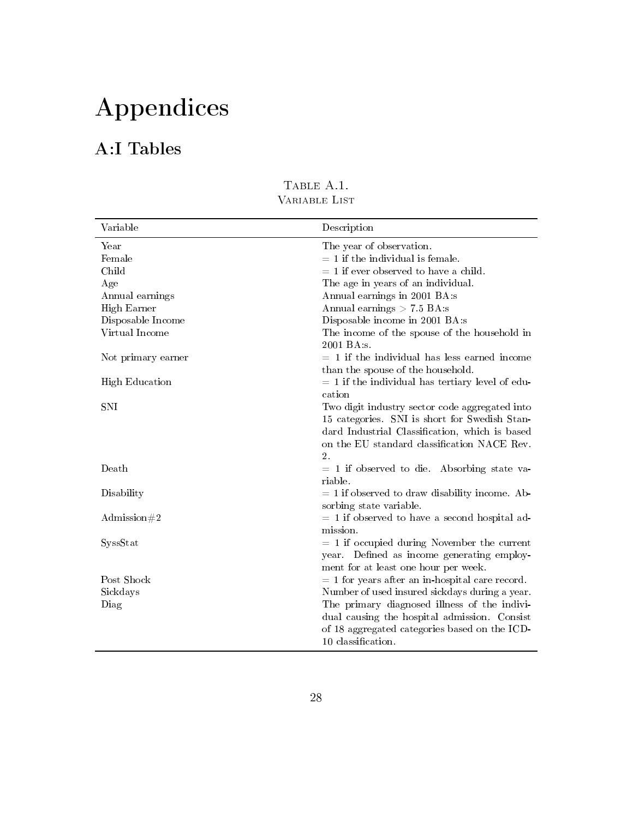# Appendices

# A:I Tables

| Variable              | Description                                        |
|-----------------------|----------------------------------------------------|
| Year                  | The year of observation.                           |
| Female                | $= 1$ if the individual is female.                 |
| Child                 | $= 1$ if ever observed to have a child.            |
| Age                   | The age in years of an individual.                 |
| Annual earnings       | Annual earnings in 2001 BA:s                       |
| High Earner           | Annual earnings $> 7.5$ BA:s                       |
| Disposable Income     | Disposable income in 2001 BA:s                     |
| Virtual Income        | The income of the spouse of the household in       |
|                       | 2001 BA:s.                                         |
| Not primary earner    | $= 1$ if the individual has less earned income     |
|                       | than the spouse of the household.                  |
| <b>High Education</b> | $= 1$ if the individual has tertiary level of edu- |
|                       | cation                                             |
| <b>SNI</b>            | Two digit industry sector code aggregated into     |
|                       | 15 categories. SNI is short for Swedish Stan-      |
|                       | dard Industrial Classification, which is based     |
|                       | on the EU standard classification NACE Rev.        |
|                       | $\overline{2}$ .                                   |
| Death                 | $= 1$ if observed to die. Absorbing state va-      |
|                       | riable.                                            |
| Disability            | $= 1$ if observed to draw disability income. Ab-   |
|                       | sorbing state variable.                            |
| Admission#2           | $= 1$ if observed to have a second hospital ad-    |
|                       | mission.                                           |
| SyssStat              | $= 1$ if occupied during November the current      |
|                       | year. Defined as income generating employ-         |
|                       | ment for at least one hour per week.               |
| Post Shock            | $= 1$ for years after an in-hospital care record.  |
| Sickdays              | Number of used insured sickdays during a year.     |
| Diag                  | The primary diagnosed illness of the indivi-       |
|                       | dual causing the hospital admission. Consist       |
|                       | of 18 aggregated categories based on the ICD-      |
|                       | 10 classification.                                 |

TABLE A.1. Variable List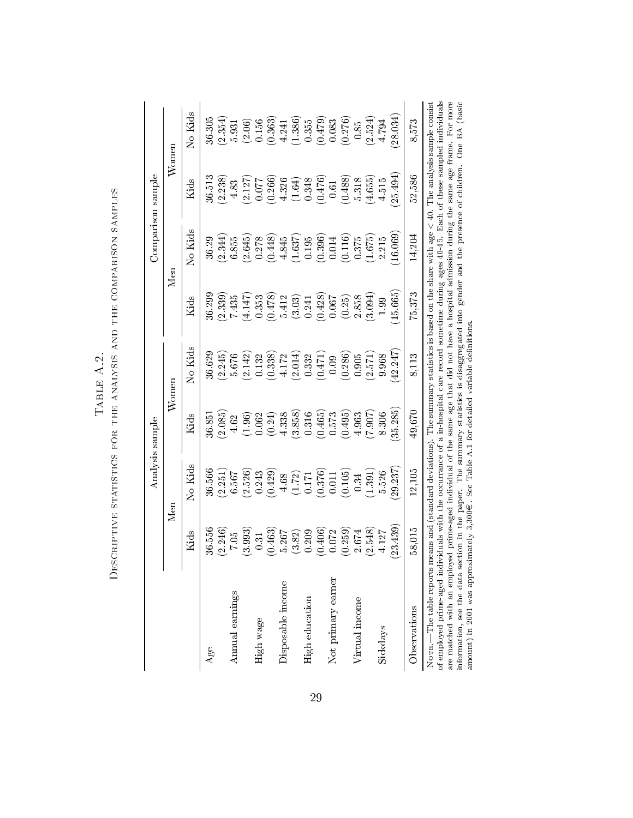|                                                                                                                                                                                                                                                                                                                                                                                                                                                                                                                                                                                                                                                                                             |          | Analysis sample        |              |                                                         |                     | Comparison sample |              |                      |
|---------------------------------------------------------------------------------------------------------------------------------------------------------------------------------------------------------------------------------------------------------------------------------------------------------------------------------------------------------------------------------------------------------------------------------------------------------------------------------------------------------------------------------------------------------------------------------------------------------------------------------------------------------------------------------------------|----------|------------------------|--------------|---------------------------------------------------------|---------------------|-------------------|--------------|----------------------|
|                                                                                                                                                                                                                                                                                                                                                                                                                                                                                                                                                                                                                                                                                             |          | Ŋеп                    | $\rm{Womer}$ |                                                         |                     | Men               | $\rm{Women}$ |                      |
|                                                                                                                                                                                                                                                                                                                                                                                                                                                                                                                                                                                                                                                                                             | Kids     | No Kids                | Kids         | No Kids                                                 | Kids                | No Kids           | Kids         | No Kids              |
| Age                                                                                                                                                                                                                                                                                                                                                                                                                                                                                                                                                                                                                                                                                         | 36.556   | 36.566                 | 36.851       | 36.629                                                  | 36.299              | 36.29             | 36.513       | 36.305               |
|                                                                                                                                                                                                                                                                                                                                                                                                                                                                                                                                                                                                                                                                                             | (2.246)  | (2.251)                | (2.085)      | (2.245)                                                 | (2.339)             | (2.344)           | (2.238)      | (2.354)              |
| Annual earnings                                                                                                                                                                                                                                                                                                                                                                                                                                                                                                                                                                                                                                                                             | 7.05     | 6.567                  | 4.62         | 5.676                                                   | 7.435               | 6.855             | 4.83         | 5.931                |
|                                                                                                                                                                                                                                                                                                                                                                                                                                                                                                                                                                                                                                                                                             | 3.993    | (2.526)                | (1.96)       | (2.142)                                                 | (4.147)             | (2.645)           | (2.127)      | (2.06)               |
| High wage                                                                                                                                                                                                                                                                                                                                                                                                                                                                                                                                                                                                                                                                                   | 0.31     | 0.243                  | 0.062        | $0.132\,$                                               | 0.353               | 0.278             | 770.0        | 0.156                |
|                                                                                                                                                                                                                                                                                                                                                                                                                                                                                                                                                                                                                                                                                             | (0.463)  | (0.429)                | (0.24)       | (0.338)                                                 | (614.0)             | (0.448)           | (0.266)      | (0.363)              |
| Disposable income                                                                                                                                                                                                                                                                                                                                                                                                                                                                                                                                                                                                                                                                           | 5.267    | 4.68                   | 4.338        |                                                         | 5.412               | 4.845             | 4.326        | 4.241                |
|                                                                                                                                                                                                                                                                                                                                                                                                                                                                                                                                                                                                                                                                                             | $(3.82)$ | (1.72)                 | (3.858)      | $\begin{array}{c} 4.172 \\ 2.014) \\ 0.332 \end{array}$ | $(3.03)$<br>$0.241$ | (1.637)           | (1.64)       | $(1.386)$<br>$0.355$ |
| High education                                                                                                                                                                                                                                                                                                                                                                                                                                                                                                                                                                                                                                                                              | 0.209    | 0.171                  | 0.316        |                                                         |                     | 0.195             | 0.348        |                      |
|                                                                                                                                                                                                                                                                                                                                                                                                                                                                                                                                                                                                                                                                                             | 0.406    | $\binom{0.376}{0.011}$ | (0.465)      | (0.471)                                                 | (6.428)             | (0.396)           | (0.476)      | $(0.479)$<br>0.083   |
| Not primary earner                                                                                                                                                                                                                                                                                                                                                                                                                                                                                                                                                                                                                                                                          | 0.072    |                        | 0.573        | 0.09                                                    | 0.067               | 0.014             | 0.61         |                      |
|                                                                                                                                                                                                                                                                                                                                                                                                                                                                                                                                                                                                                                                                                             | (0.259)  | (0.105)                | (0.495)      | (0.286)                                                 | (0.25)              | (0.116)           | (0.488)      | (0.276)              |
| Virtual income                                                                                                                                                                                                                                                                                                                                                                                                                                                                                                                                                                                                                                                                              | 2.674    | 0.34                   | 4.963        | 0.905                                                   | 2.858               | 0.375             | 5.318        | 0.85                 |
|                                                                                                                                                                                                                                                                                                                                                                                                                                                                                                                                                                                                                                                                                             | (2.548)  | (1.391)                | (7.907)      | (2.571)                                                 | (3.094)             | (1.675)           | (4.655)      | (2.524)              |
| Sickdays                                                                                                                                                                                                                                                                                                                                                                                                                                                                                                                                                                                                                                                                                    | 4.127    | 5.526                  | 8.306        | 9.968                                                   | 1.99                | 2.215             | 4.515        | 4.794                |
|                                                                                                                                                                                                                                                                                                                                                                                                                                                                                                                                                                                                                                                                                             | 23.439   | 29.237                 | 35.285       | 42.247                                                  | 15.665              | 16.069            | 25.494       | 28.034)              |
| <b>Observations</b>                                                                                                                                                                                                                                                                                                                                                                                                                                                                                                                                                                                                                                                                         | 58,015   | 12,105                 | 49,670       | 8,113                                                   | 75,373              | 14,204            | 52,586       | 8,573                |
| are matched with an employed prime-aged individual of the same age that did not have a hospital admission during the same age frame. For more<br>of employed prime-aged individuals with the occurrance of a in-hospital care record sometime during ages 40-45. Each of these sampled individuals<br>NOTE.—The table reports means and (standard deviations). The summary statistics is based on the share with age $< 40$ . The analysis sample consist<br>information, see the data section in the paper. The summary statistics is disaggregated into gender and the presence of children.<br>amount) in 2001 was approximately 3,300€. See Table A.1 for detailed variable definitions |          |                        |              |                                                         |                     |                   |              | One BA (basic        |

DESCRIPTIVE STATISTICS FOR THE ANALYSIS AND THE COMPARISON SAMPLES Descriptive statistics for the analysis and the comparison samples TABLE A.2. Table A.2.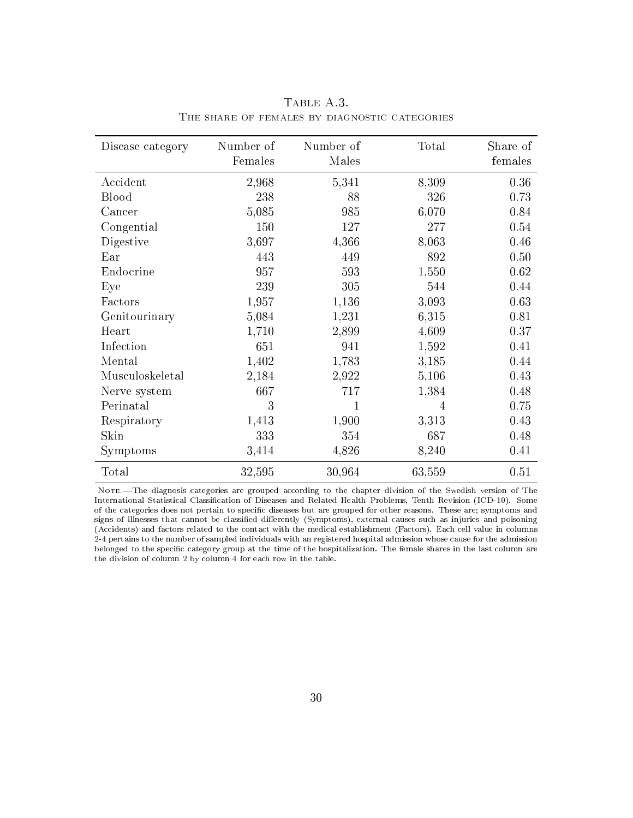| Disease category | Number of<br>Females | Number of<br>Males | Total  | Share of<br>females |
|------------------|----------------------|--------------------|--------|---------------------|
| Accident         | 2,968                | 5,341              | 8,309  | 0.36                |
| <b>Blood</b>     | 238                  | 88                 | 326    | 0.73                |
| Cancer           | 5,085                | 985                | 6,070  | 0.84                |
| Congential       | 150                  | 127                | 277    | 0.54                |
| Digestive        | 3,697                | 4,366              | 8,063  | 0.46                |
| Ear              | 443                  | 449                | 892    | 0.50                |
| Endocrine        | 957                  | 593                | 1,550  | 0.62                |
| Eye              | 239                  | 305                | 544    | 0.44                |
| Factors          | 1,957                | 1,136              | 3,093  | 0.63                |
| Genitourinary    | 5,084                | 1,231              | 6,315  | 0.81                |
| Heart            | 1,710                | 2,899              | 4,609  | 0.37                |
| Infection        | 651                  | 941                | 1,592  | 0.41                |
| Mental           | 1,402                | 1,783              | 3,185  | 0.44                |
| Musculoskeletal  | 2,184                | 2,922              | 5,106  | 0.43                |
| Nerve system     | 667                  | 717                | 1,384  | 0.48                |
| Perinatal        | 3                    | 1                  | 4      | 0.75                |
| Respiratory      | 1,413                | 1,900              | 3,313  | 0.43                |
| Skin             | 333                  | 354                | 687    | 0.48                |
| Symptoms         | 3,414                | 4,826              | 8,240  | 0.41                |
| Total            | 32,595               | 30,964             | 63,559 | 0.51                |

TABLE A.3. The share of females by diagnostic categories

Note.-The diagnosis categories are grouped according to the chapter division of the Swedish version of The International Statistical Classification of Diseases and Related Health Problems, Tenth Revision (ICD-10). Some of the categories does not pertain to specific diseases but are grouped for other reasons. These are; symptoms and signs of illnesses that cannot be classied dierently (Symptoms), external causes such as injuries and poisoning (Accidents) and factors related to the contact with the medical establishment (Factors). Each cell value in columns 2-4 pertains to the number of sampled individuals with an registered hospital admission whose cause for the admission belonged to the specific category group at the time of the hospitalization. The female shares in the last column are the division of column 2 by column 4 for each row in the table.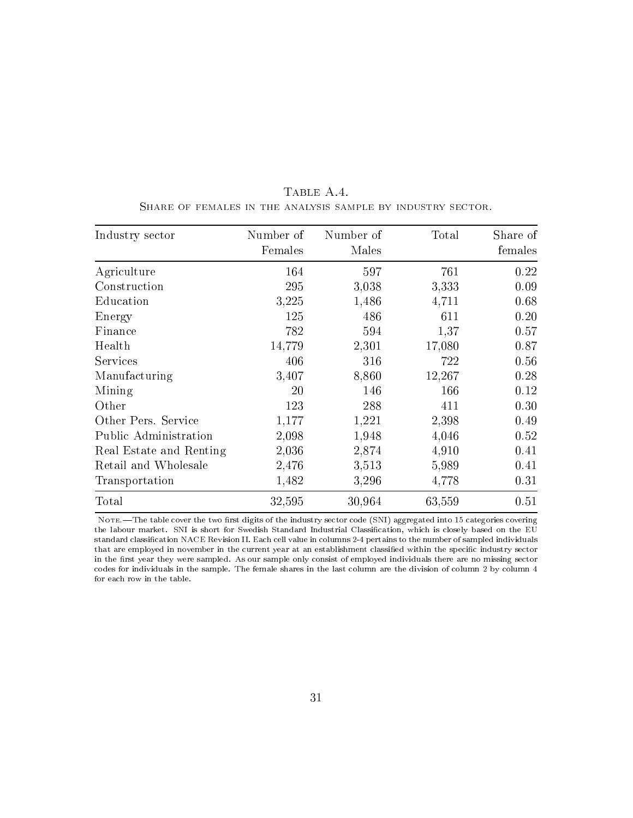| Industry sector         | Number of<br>Females | Number of<br>Males | Total  | Share of<br>females |
|-------------------------|----------------------|--------------------|--------|---------------------|
| Agriculture             | 164                  | 597                | 761    | 0.22                |
| Construction            | 295                  | 3,038              | 3,333  | 0.09                |
| Education               | 3,225                | 1,486              | 4,711  | 0.68                |
| Energy                  | 125                  | 486                | 611    | 0.20                |
| Finance                 | 782                  | 594                | 1,37   | 0.57                |
| Health                  | 14,779               | 2,301              | 17,080 | 0.87                |
| Services                | 406                  | 316                | 722    | 0.56                |
| Manufacturing           | 3,407                | 8,860              | 12,267 | 0.28                |
| Mining                  | 20                   | 146                | 166    | 0.12                |
| Other                   | 123                  | 288                | 411    | 0.30                |
| Other Pers. Service     | 1,177                | 1,221              | 2,398  | 0.49                |
| Public Administration   | 2,098                | 1,948              | 4,046  | 0.52                |
| Real Estate and Renting | 2,036                | 2,874              | 4,910  | 0.41                |
| Retail and Wholesale    | 2,476                | 3,513              | 5,989  | 0.41                |
| Transportation          | 1,482                | 3,296              | 4,778  | 0.31                |
| Total                   | 32,595               | 30,964             | 63,559 | 0.51                |

TABLE A.4. Share of females in the analysis sample by industry sector.

NOTE. The table cover the two first digits of the industry sector code (SNI) aggregated into 15 categories covering the labour market. SNI is short for Swedish Standard Industrial Classification, which is closely based on the EU standard classification NACE Revision II. Each cell value in columns 2-4 pertains to the number of sampled individuals that are employed in november in the current year at an establishment classified within the specific industry sector in the first year they were sampled. As our sample only consist of employed individuals there are no missing sector codes for individuals in the sample. The female shares in the last column are the division of column 2 by column 4 for each row in the table.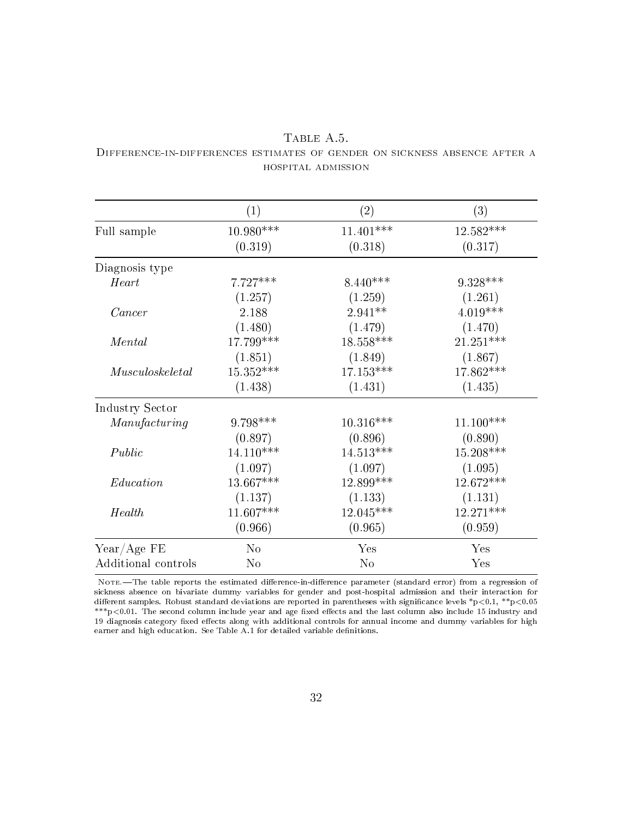|                     | (1)            | (2)         | (3)         |
|---------------------|----------------|-------------|-------------|
| Full sample         | $10.980***$    | $11.401***$ | $12.582***$ |
|                     | (0.319)        | (0.318)     | (0.317)     |
| Diagnosis type      |                |             |             |
| Heart               | $7.727***$     | $8.440***$  | $9.328***$  |
|                     | (1.257)        | (1.259)     | (1.261)     |
| Cancer              | 2.188          | $2.941**$   | $4.019***$  |
|                     | (1.480)        | (1.479)     | (1.470)     |
| Mental              | 17.799***      | $18.558***$ | $21.251***$ |
|                     | (1.851)        | (1.849)     | (1.867)     |
| Musculos keletal    | $15.352***$    | $17.153***$ | 17.862***   |
|                     | (1.438)        | (1.431)     | (1.435)     |
| Industry Sector     |                |             |             |
| Manufacturing       | 9.798***       | $10.316***$ | $11.100***$ |
|                     | (0.897)        | (0.896)     | (0.890)     |
| Public              | $14.110***$    | $14.513***$ | $15.208***$ |
|                     | (1.097)        | (1.097)     | (1.095)     |
| Education           | $13.667***$    | 12.899 ***  | 12.672***   |
|                     | (1.137)        | (1.133)     | (1.131)     |
| Health              | $11.607***$    | $12.045***$ | $12.271***$ |
|                     | (0.966)        | (0.965)     | (0.959)     |
| $Year/Age$ FE       | N <sub>o</sub> | Yes         | Yes         |
| Additional controls | No             | No          | Yes         |

#### TABLE A.5. Difference-in-differences estimates of gender on sickness absence after a hospital admission

Nore.-The table reports the estimated difference-in-difference parameter (standard error) from a regression of sickness absence on bivariate dummy variables for gender and post-hospital admission and their interaction for dierent samples. Robust standard deviations are reported in parentheses with signicance levels \*p*<*0.1, \*\*p*<*0.05 \*\*\*p<0.01. The second column include year and age fixed effects and the last column also include 15 industry and 19 diagnosis category fixed effects along with additional controls for annual income and dummy variables for high earner and high education. See Table A.1 for detailed variable definitions.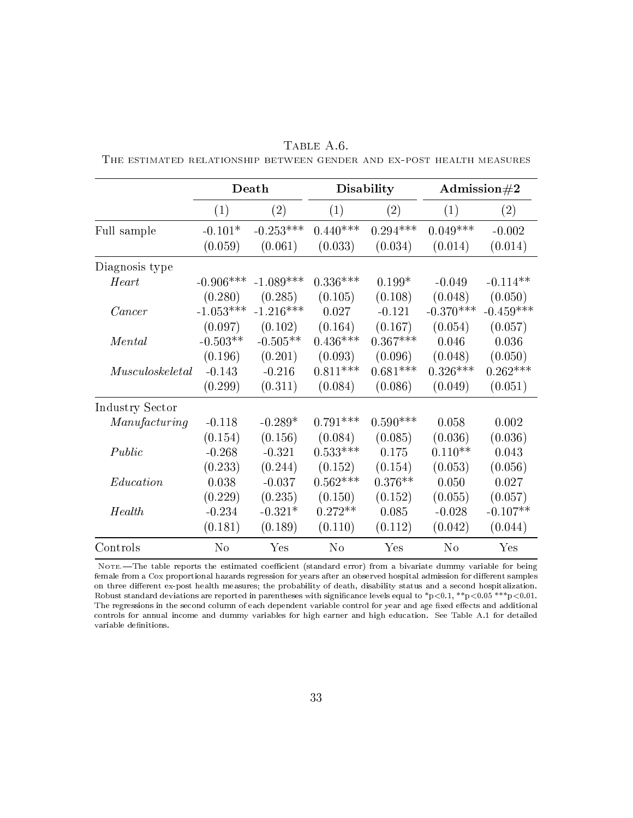|                  |             | Death       |                | Disability |                | Admission $\#2$ |
|------------------|-------------|-------------|----------------|------------|----------------|-----------------|
|                  | (1)         | (2)         | (1)            | (2)        | (1)            | (2)             |
| Full sample      | $-0.101*$   | $-0.253***$ | $0.440***$     | $0.294***$ | $0.049***$     | $-0.002$        |
|                  | (0.059)     | (0.061)     | (0.033)        | (0.034)    | (0.014)        | (0.014)         |
| Diagnosis type   |             |             |                |            |                |                 |
| Heart            | $-0.906***$ | $-1.089***$ | $0.336***$     | $0.199*$   | $-0.049$       | $-0.114**$      |
|                  | (0.280)     | (0.285)     | (0.105)        | (0.108)    | (0.048)        | (0.050)         |
| Cancer           | $-1.053***$ | $-1.216***$ | 0.027          | $-0.121$   | $-0.370***$    | $-0.459***$     |
|                  | (0.097)     | (0.102)     | (0.164)        | (0.167)    | (0.054)        | (0.057)         |
| Mental           | $-0.503**$  | $-0.505**$  | $0.436***$     | $0.367***$ | 0.046          | 0.036           |
|                  | (0.196)     | (0.201)     | (0.093)        | (0.096)    | (0.048)        | (0.050)         |
| Musculos keletal | $-0.143$    | $-0.216$    | $0.811***$     | $0.681***$ | $0.326***$     | $0.262***$      |
|                  | (0.299)     | (0.311)     | (0.084)        | (0.086)    | (0.049)        | (0.051)         |
| Industry Sector  |             |             |                |            |                |                 |
| Manufacturing    | $-0.118$    | $-0.289*$   | $0.791***$     | $0.590***$ | 0.058          | 0.002           |
|                  | (0.154)     | (0.156)     | (0.084)        | (0.085)    | (0.036)        | (0.036)         |
| Public           | $-0.268$    | $-0.321$    | $0.533***$     | 0.175      | $0.110**$      | 0.043           |
|                  | (0.233)     | (0.244)     | (0.152)        | (0.154)    | (0.053)        | (0.056)         |
| Education        | 0.038       | $-0.037$    | $0.562***$     | $0.376**$  | 0.050          | 0.027           |
|                  | (0.229)     | (0.235)     | (0.150)        | (0.152)    | (0.055)        | (0.057)         |
| Health           | $-0.234$    | $-0.321*$   | $0.272**$      | 0.085      | $-0.028$       | $-0.107**$      |
|                  | (0.181)     | (0.189)     | (0.110)        | (0.112)    | (0.042)        | (0.044)         |
| Controls         | No          | Yes         | N <sub>o</sub> | Yes        | N <sub>o</sub> | Yes             |

TABLE A.6. The estimated relationship between gender and ex-post health measures

NOTE.-The table reports the estimated coefficient (standard error) from a bivariate dummy variable for being female from a Cox proportional hazards regression for years after an observed hospital admission for different samples on three different ex-post health measures; the probability of death, disability status and a second hospitalization. Robust standard deviations are reported in parentheses with signicance levels equal to \*p*<*0.1, \*\*p*<*0.05 \*\*\*p*<*0.01. The regressions in the second column of each dependent variable control for year and age fixed effects and additional controls for annual income and dummy variables for high earner and high education. See Table A.1 for detailed variable definitions.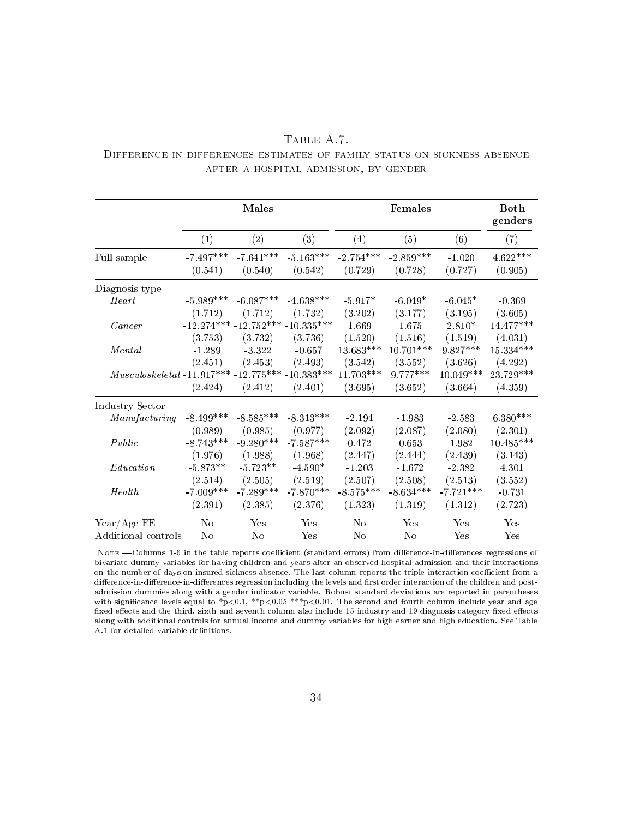|                                                                          |                                       | TABLE A.7. |  |  |
|--------------------------------------------------------------------------|---------------------------------------|------------|--|--|
| DIFFERENCE-IN-DIFFERENCES ESTIMATES OF FAMILY STATUS ON SICKNESS ABSENCE |                                       |            |  |  |
|                                                                          | AFTER A HOSPITAL ADMISSION, BY GENDER |            |  |  |

|                                                    |                  | Males                            |             |                  | Females     |             | <b>Both</b><br>genders |
|----------------------------------------------------|------------------|----------------------------------|-------------|------------------|-------------|-------------|------------------------|
|                                                    | $\left(1\right)$ | (2)                              | (3)         | $\left(4\right)$ | (5)         | (6)         | (7)                    |
| Full sample                                        | $-7.497***$      | $-7.641***$                      | $-5.163***$ | $-2.754***$      | $-2.859***$ | $-1.020$    | $4.622***$             |
|                                                    | (0.541)          | (0.540)                          | (0.542)     | (0.729)          | (0.728)     | (0.727)     | (0.905)                |
| Diagnosis type                                     |                  |                                  |             |                  |             |             |                        |
| H e a r t                                          | $-5.989***$      | $-6.087***$                      | $-4.638***$ | $-5.917*$        | $-6.049*$   | $-6.045*$   | $-0.369$               |
|                                                    | (1.712)          | (1.712)                          | (1.732)     | (3.202)          | (3.177)     | (3.195)     | (3.605)                |
| Cancer                                             |                  | $-12.274***-12.752***-10.335***$ |             | 1.669            | 1.675       | $2.810*$    | $14.477***$            |
|                                                    | (3.753)          | (3.732)                          | (3.736)     | (1.520)          | (1.516)     | (1.519)     | (4.031)                |
| Mental                                             | $-1.289$         | $-3.322$                         | $-0.657$    | $13.683***$      | $10.701***$ | $9.827***$  | $15.334***$            |
|                                                    | (2.451)          | (2.453)                          | (2.493)     | (3.542)          | (3.552)     | (3.626)     | (4.292)                |
| $Musculoskeletal -11.917*** -12.775*** -10.383***$ |                  |                                  |             | $11.703***$      | $9.777***$  | $10.049***$ | $23.729***$            |
|                                                    | (2.424)          | (2.412)                          | (2.401)     | (3.695)          | (3.652)     | (3.664)     | (4.359)                |
| Industry Sector                                    |                  |                                  |             |                  |             |             |                        |
| Manufacturing                                      | $-8.499***$      | $-8.585***$                      | $-8.313***$ | $-2.194$         | $-1.983$    | $-2.583$    | $6.380***$             |
|                                                    | (0.989)          | (0.985)                          | (0.977)     | (2.092)          | (2.087)     | (2.080)     | (2.301)                |
| Public                                             | $-8.743***$      | $-9.280***$                      | $-7.587***$ | 0.472            | 0.653       | 1.982       | $10.485***$            |
|                                                    | (1.976)          | (1.988)                          | (1.968)     | (2.447)          | (2.444)     | (2.439)     | (3.143)                |
| Education                                          | $-5.873**$       | $-5.723**$                       | $-4.590*$   | $-1.203$         | $-1.672$    | $-2.382$    | 4.301                  |
|                                                    | (2.514)          | (2.505)                          | (2.519)     | (2.507)          | (2.508)     | (2.513)     | (3.552)                |
| Health                                             | $-7.009***$      | $-7.289***$                      | $-7.870***$ | $-8.575***$      | $-8.634***$ | $-7.721***$ | $-0.731$               |
|                                                    | (2.391)          | (2.385)                          | (2.376)     | (1.323)          | (1.319)     | (1.312)     | (2.723)                |
| $Year/Age$ FE                                      | N <sub>o</sub>   | Yes                              | Yes         | No               | Yes         | Yes         | Yes                    |
| Additional controls                                | N <sub>o</sub>   | No                               | Yes         | No               | No          | Yes         | Yes                    |

NOTE.-Columns 1-6 in the table reports coefficient (standard errors) from difference-in-differences regressions of bivariate dummy variables for having children and years after an observed hospital admission and their interactions on the number of days on insured sickness absence. The last column reports the triple interaction coefficient from a difference-in-difference-in-differences regression including the levels and first order interaction of the children and postadmission dummies along with a gender indicator variable. Robust standard deviations are reported in parentheses with significance levels equal to \*p<0.1, \*\*p<0.05 \*\*\*p<0.01. The second and fourth column include year and age fixed effects and the third, sixth and seventh column also include 15 industry and 19 diagnosis category fixed effects along with additional controls for annual income and dummy variables for high earner and high education. See Table A.1 for detailed variable definitions.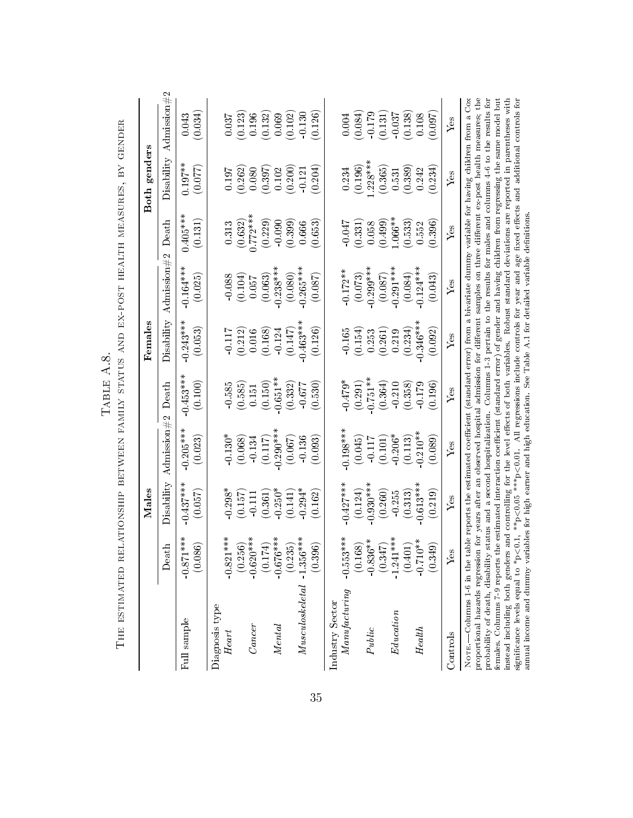|                                                                                                                                                                                                                                                                                                                                                                                                                                                                                                                                                                                                                                                                                                                                                                                                                 |                        | $\rm\,Males$           |                        |                       | $\rm Females$                                                                                                                                                                                                                                                                         |                        |                                                    | Both genders            |                                                 |
|-----------------------------------------------------------------------------------------------------------------------------------------------------------------------------------------------------------------------------------------------------------------------------------------------------------------------------------------------------------------------------------------------------------------------------------------------------------------------------------------------------------------------------------------------------------------------------------------------------------------------------------------------------------------------------------------------------------------------------------------------------------------------------------------------------------------|------------------------|------------------------|------------------------|-----------------------|---------------------------------------------------------------------------------------------------------------------------------------------------------------------------------------------------------------------------------------------------------------------------------------|------------------------|----------------------------------------------------|-------------------------|-------------------------------------------------|
|                                                                                                                                                                                                                                                                                                                                                                                                                                                                                                                                                                                                                                                                                                                                                                                                                 | Death                  | Disability             | Admission $#2$         | $\rm{Death}$          | Disability                                                                                                                                                                                                                                                                            | Admission $\#2$        | $\rm{Death}$                                       | Disability              | Admission $\#2$                                 |
| Full sample                                                                                                                                                                                                                                                                                                                                                                                                                                                                                                                                                                                                                                                                                                                                                                                                     | $-0.871***$<br>(0.086) | $-0.437***$<br>(0.057) | $-0.205***$<br>(0.023) | $-0.453**$<br>(0.100) | $-0.243***$<br>(0.053)                                                                                                                                                                                                                                                                | $-0.164***$<br>(0.025) | 0.405***<br>(0.131)                                | $0.197***$<br>(0.077)   | (0.034)<br>0.043                                |
| Diagnosis type<br>Heart                                                                                                                                                                                                                                                                                                                                                                                                                                                                                                                                                                                                                                                                                                                                                                                         | $-0.821***$            | $0.298*$               | $-0.130*$              | 0.585                 | $-0.117$                                                                                                                                                                                                                                                                              | $-0.088$               | 0.313                                              | 0.197                   | 0.037                                           |
| $\it{Cancer}$                                                                                                                                                                                                                                                                                                                                                                                                                                                                                                                                                                                                                                                                                                                                                                                                   | $-0.620***$<br>(0.256) | (0.157)<br>$-0.111$    | (0.068)<br>0.134       | (0.585)<br>0.151      | (0.212)<br>0.016                                                                                                                                                                                                                                                                      | (0.104)<br>0.057       | $\begin{array}{c} (0.632) \\ 0.772*** \end{array}$ | (0.262)<br>0.080        | (0.123)<br>0.196                                |
| Mental                                                                                                                                                                                                                                                                                                                                                                                                                                                                                                                                                                                                                                                                                                                                                                                                          | $-0.676***$<br>(0.174) | $-0.250*$<br>(0.361)   | $-0.290***$<br>(0.117) | $-0.651**$<br>(0.150) | (0.168)<br>$-0.124$                                                                                                                                                                                                                                                                   | $-0.238***$<br>(0.063) | (0.229)<br>$-0.090$                                | $\frac{(0.397)}{0.102}$ | $\begin{array}{c} (0.132) \\ 0.069 \end{array}$ |
|                                                                                                                                                                                                                                                                                                                                                                                                                                                                                                                                                                                                                                                                                                                                                                                                                 | (0.235)                | (0.141)                | (0.067)                | (0.332)               | (0.147)                                                                                                                                                                                                                                                                               | (0.080)                | (0.399)                                            | (0.200)                 | (0.102)                                         |
| $\label{thm:2} Musculos keletal$                                                                                                                                                                                                                                                                                                                                                                                                                                                                                                                                                                                                                                                                                                                                                                                | $-1.356***$<br>(0.396) | $0.294*$<br>(0.162)    | $-0.136$<br>(0.093)    | (0.530)<br>$-0.677$   | $0.463***$<br>(0.126)                                                                                                                                                                                                                                                                 | $0.265***$<br>(0.087)  | (0.653)<br>0.666                                   | (0.204)<br>$-0.121$     | 0.130<br>(0.126)                                |
| $\it Manafacturing$<br>Industry Sector                                                                                                                                                                                                                                                                                                                                                                                                                                                                                                                                                                                                                                                                                                                                                                          | $-0.553***$            | $0.427***$             | $0.198**$              | $-0.479*$             | $-0.165$                                                                                                                                                                                                                                                                              | $-0.172**$             | $-0.047$                                           | 0.234                   | $0.004\,$                                       |
|                                                                                                                                                                                                                                                                                                                                                                                                                                                                                                                                                                                                                                                                                                                                                                                                                 | (0.168)                | (0.124)                | (0.045)                | (0.291)               | (0.154)                                                                                                                                                                                                                                                                               | (0.073)                | (0.331)                                            | (0.196)                 | (0.084)                                         |
| Public                                                                                                                                                                                                                                                                                                                                                                                                                                                                                                                                                                                                                                                                                                                                                                                                          | $-0.836**$             | $0.930***$             | $-0.117$               | $0.751**$             | 0.253                                                                                                                                                                                                                                                                                 | $0.299***$             | 0.058                                              | $1.228***$              | $-0.179$                                        |
| Education                                                                                                                                                                                                                                                                                                                                                                                                                                                                                                                                                                                                                                                                                                                                                                                                       | $-1.241***$<br>(0.347) | (0.260)<br>$-0.255$    | $-0.206*$<br>(0.101)   | (0.364)<br>$-0.210$   | (0.261)<br>0.219                                                                                                                                                                                                                                                                      | $-0.291***$<br>(0.087) | $1.066**$<br>(0.499)                               | (0.365)<br>0.531        | (0.131)<br>$-0.037$                             |
|                                                                                                                                                                                                                                                                                                                                                                                                                                                                                                                                                                                                                                                                                                                                                                                                                 | (0.401)                | (0.313)                | (0.113)                | (0.358)               | (0.234)                                                                                                                                                                                                                                                                               | (0.084)                | (0.533)                                            | (0.389)                 | (0.138)                                         |
| Health                                                                                                                                                                                                                                                                                                                                                                                                                                                                                                                                                                                                                                                                                                                                                                                                          | $-0.710**$<br>(0.349)  | $0.613***$<br>(0.219)  | $-0.210**$<br>(0.089)  | $-0.179$<br>(0.196)   | $0.346***$<br>(0.092)                                                                                                                                                                                                                                                                 | $0.124***$<br>(0.043)  | (0.396)<br>0.552                                   | (0.234)<br>0.242        | (0.097)<br>0.108                                |
| $\rm{Coutrols}$                                                                                                                                                                                                                                                                                                                                                                                                                                                                                                                                                                                                                                                                                                                                                                                                 | Yes                    | ${\rm Yes}$            | Yes                    | Yes                   | Ýes                                                                                                                                                                                                                                                                                   | Yes                    | Yes                                                | Yes                     | $Y$ es                                          |
| proportional hazards regression for years after an observed hospital admission for different samples on three different ex-post health measures; the<br>probability of death, disability status and a second hospitalization. Columns 1-3 pertain to the results for males and columns 4-6 to the results for<br>instead including both genders and controlling for the level effects of both variables. Robust standard deviations are reported in parentheses with<br>females. Columns 7-9 reports the estimated interaction coefficient (standard error) of gender and having children from regressing the same model but<br>annual income and dummy variables for high earner and high education. See Table A.1 for detailed variable definitions<br>significance levels equal to $*_{\mathbb{P}}$<br>NOTE. |                        |                        |                        |                       | $\lt$ 0.1, **p $\lt$ 0.05 ***p $\lt$ 0.01. All regressions include controls for year and age fixed effects and additional controls for<br>-Columns 1-6 in the table reports the estimated coefficient (standard error) from a bivariate dummy variable for having children from a Cox |                        |                                                    |                         |                                                 |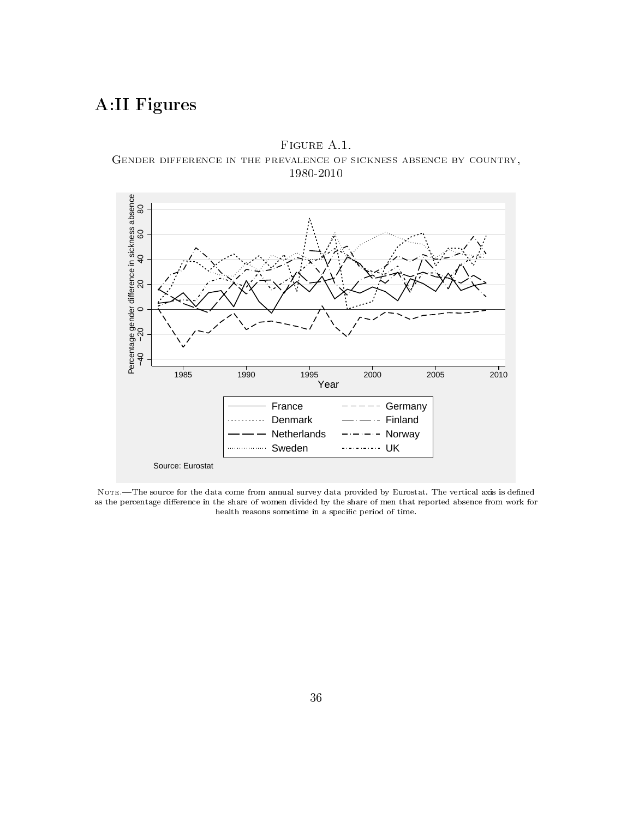# A:II Figures





NOTE.-The source for the data come from annual survey data provided by Eurostat. The vertical axis is defined as the percentage difference in the share of women divided by the share of men that reported absence from work for health reasons sometime in a specific period of time.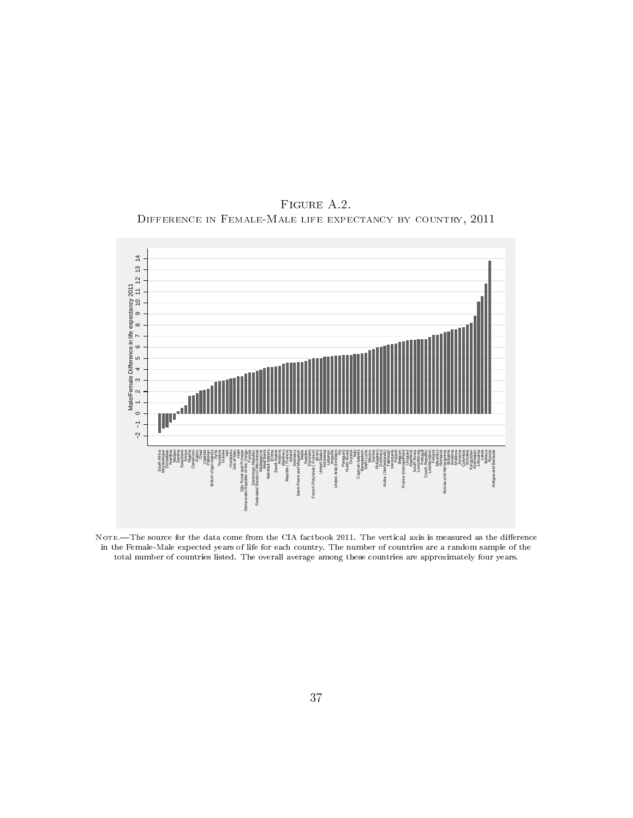FIGURE A.2. Difference in Female-Male life expectancy by country, 2011



NOTE.-The source for the data come from the CIA factbook 2011. The vertical axis is measured as the difference in the Female-Male expected years of life for each country. The number of countries are a random sample of the total number of countries listed. The overall average among these countries are approximately four years.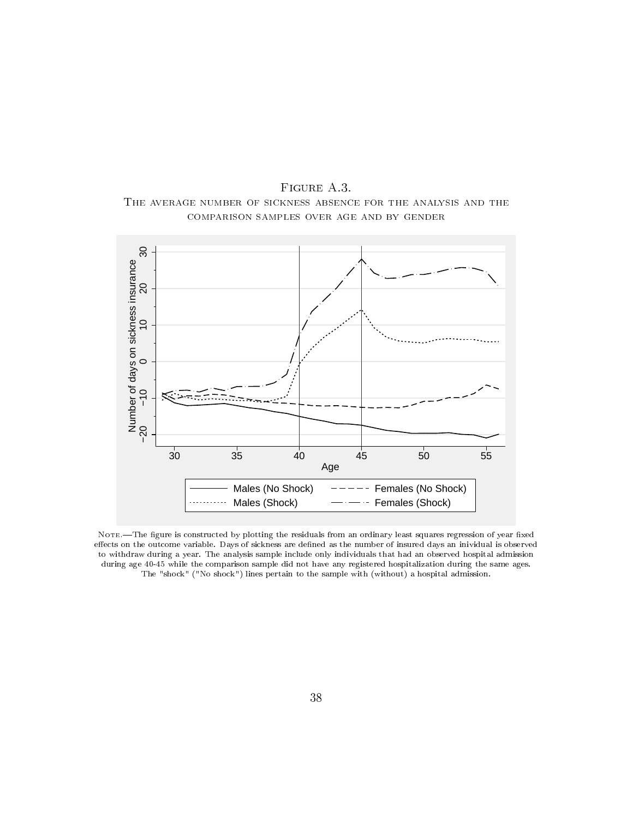



Note.—The figure is constructed by plotting the residuals from an ordinary least squares regression of year fixed effects on the outcome variable. Days of sickness are defined as the number of insured days an inividual is observed to withdraw during a year. The analysis sample include only individuals that had an observed hospital admission during age 40-45 while the comparison sample did not have any registered hospitalization during the same ages. The "shock" ("No shock") lines pertain to the sample with (without) a hospital admission.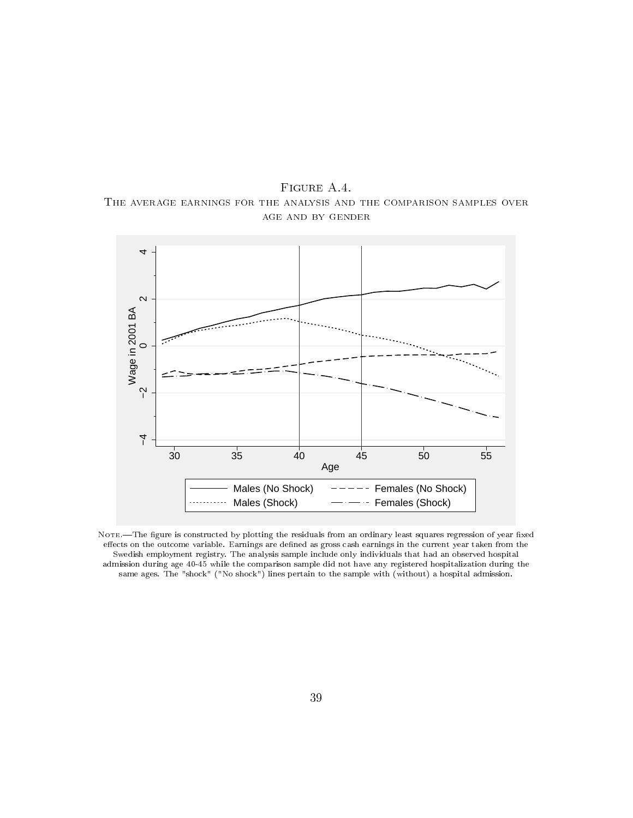FIGURE A.4. The average earnings for the analysis and the comparison samples over age and by gender



Note.—The figure is constructed by plotting the residuals from an ordinary least squares regression of year fixed effects on the outcome variable. Earnings are defined as gross cash earnings in the current year taken from the Swedish employment registry. The analysis sample include only individuals that had an observed hospital admission during age 40-45 while the comparison sample did not have any registered hospitalization during the same ages. The "shock" ("No shock") lines pertain to the sample with (without) a hospital admission.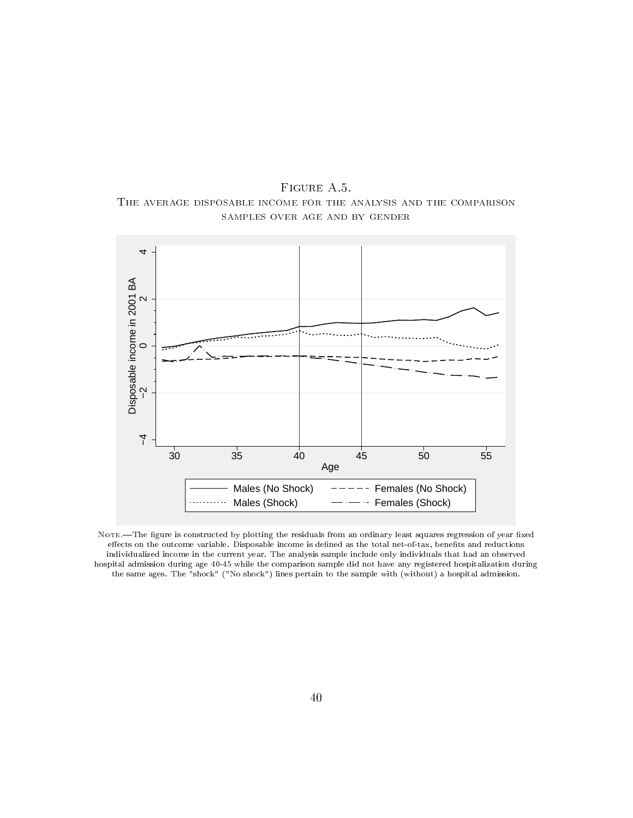FIGURE A.5. The average disposable income for the analysis and the comparison samples over age and by gender



NOTE.-The figure is constructed by plotting the residuals from an ordinary least squares regression of year fixed effects on the outcome variable. Disposable income is defined as the total net-of-tax, benefits and reductions individualized income in the current year. The analysis sample include only individuals that had an observed hospital admission during age 40-45 while the comparison sample did not have any registered hospitalization during the same ages. The "shock" ("No shock") lines pertain to the sample with (without) a hospital admission.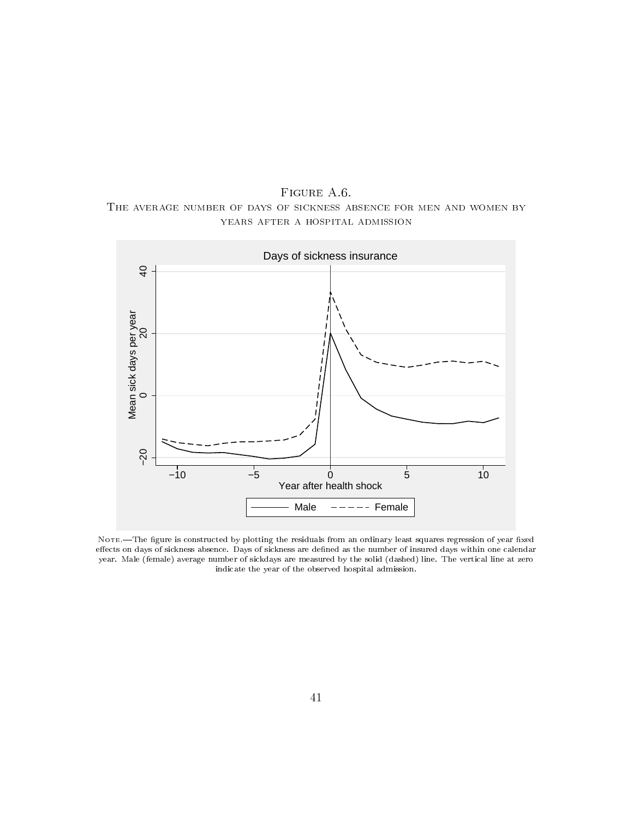FIGURE A.6. The average number of days of sickness absence for men and women by years after a hospital admission



NOTE. The figure is constructed by plotting the residuals from an ordinary least squares regression of year fixed effects on days of sickness absence. Days of sickness are defined as the number of insured days within one calendar year. Male (female) average number of sickdays are measured by the solid (dashed) line. The vertical line at zero indicate the year of the observed hospital admission.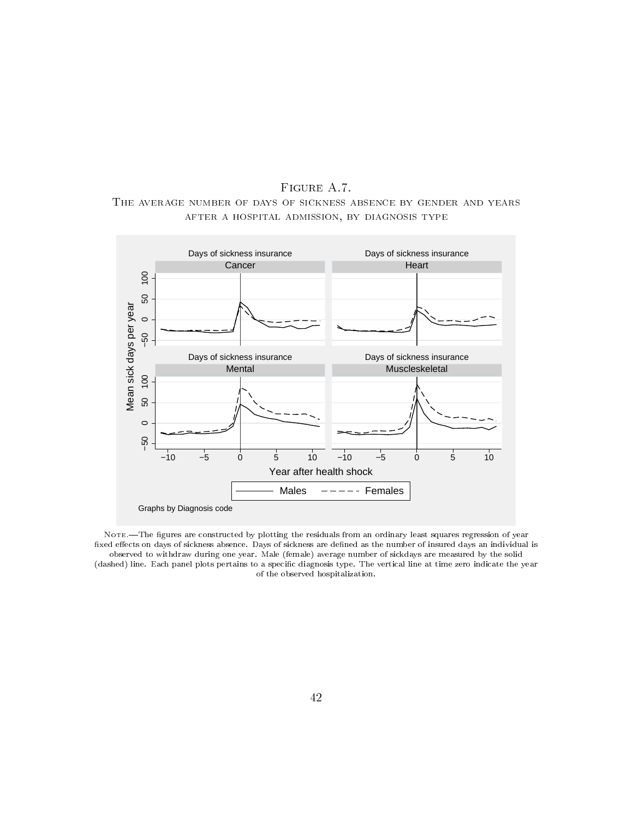FIGURE A.7. The average number of days of sickness absence by gender and years after a hospital admission, by diagnosis type



NOTE.—The figures are constructed by plotting the residuals from an ordinary least squares regression of year fixed effects on days of sickness absence. Days of sickness are defined as the number of insured days an individual is observed to withdraw during one year. Male (female) average number of sickdays are measured by the solid (dashed) line. Each panel plots pertains to a specific diagnosis type. The vertical line at time zero indicate the year of the observed hospitalization.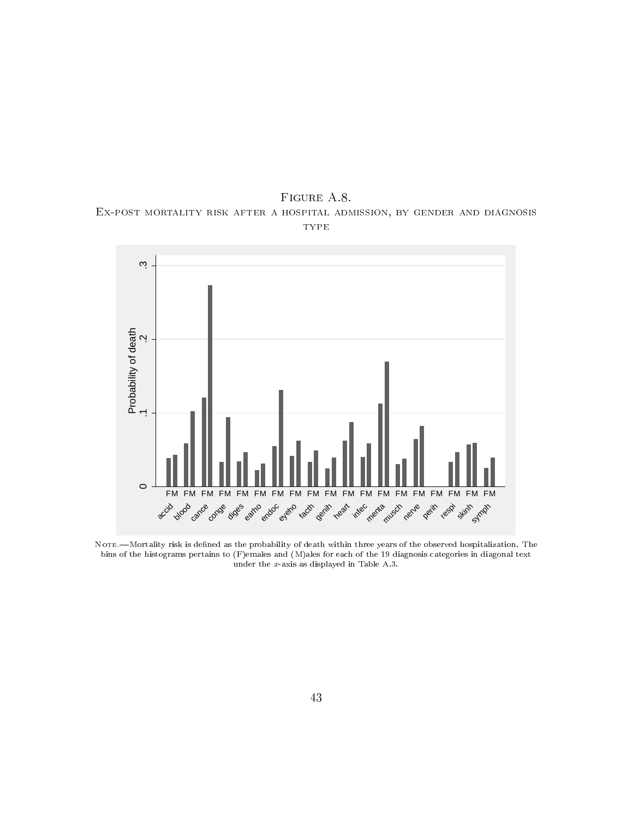FIGURE A.8. Ex-post mortality risk after a hospital admission, by gender and diagnosis **TYPE** 



NOTE.-Mortality risk is defined as the probability of death within three years of the observed hospitalization. The bins of the histograms pertains to (F)emales and (M)ales for each of the 19 diagnosis categories in diagonal text under the *x*-axis as displayed in Table A.3.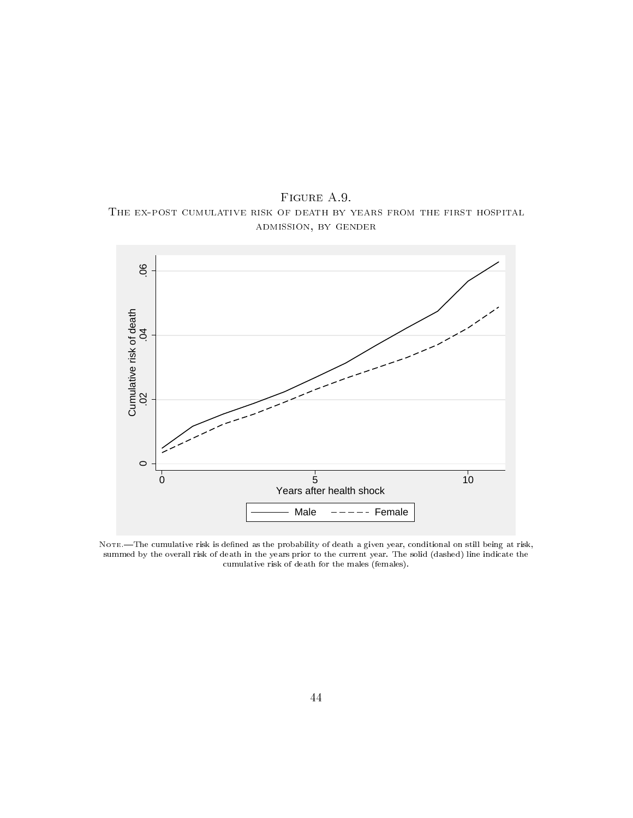FIGURE A.9. The ex-post cumulative risk of death by years from the first hospital admission, by gender



NOTE.-The cumulative risk is defined as the probability of death a given year, conditional on still being at risk, summed by the overall risk of death in the years prior to the current year. The solid (dashed) line indicate the cumulative risk of death for the males (females).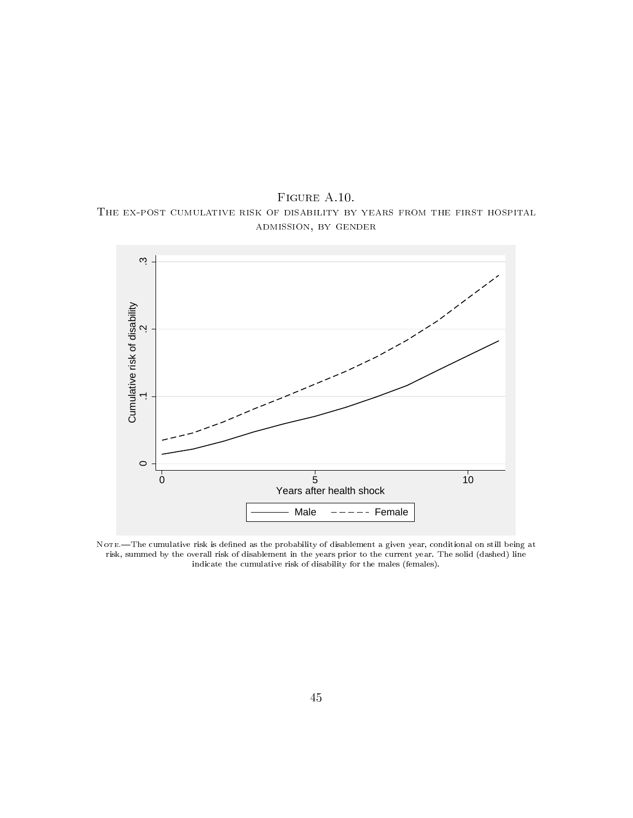FIGURE A.10. The ex-post cumulative risk of disability by years from the first hospital admission, by gender



NOTE.-The cumulative risk is defined as the probability of disablement a given year, conditional on still being at risk, summed by the overall risk of disablement in the years prior to the current year. The solid (dashed) line indicate the cumulative risk of disability for the males (females).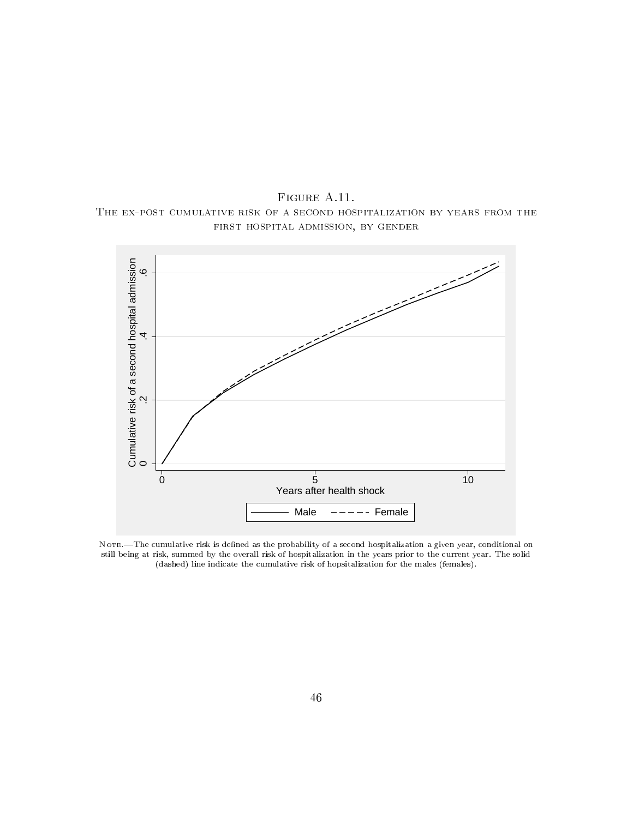FIGURE A.11. The ex-post cumulative risk of a second hospitalization by years from the first hospital admission, by gender



NOTE.—The cumulative risk is defined as the probability of a second hospitalization a given year, conditional on still being at risk, summed by the overall risk of hospitalization in the years prior to the current year. The solid (dashed) line indicate the cumulative risk of hopsitalization for the males (females).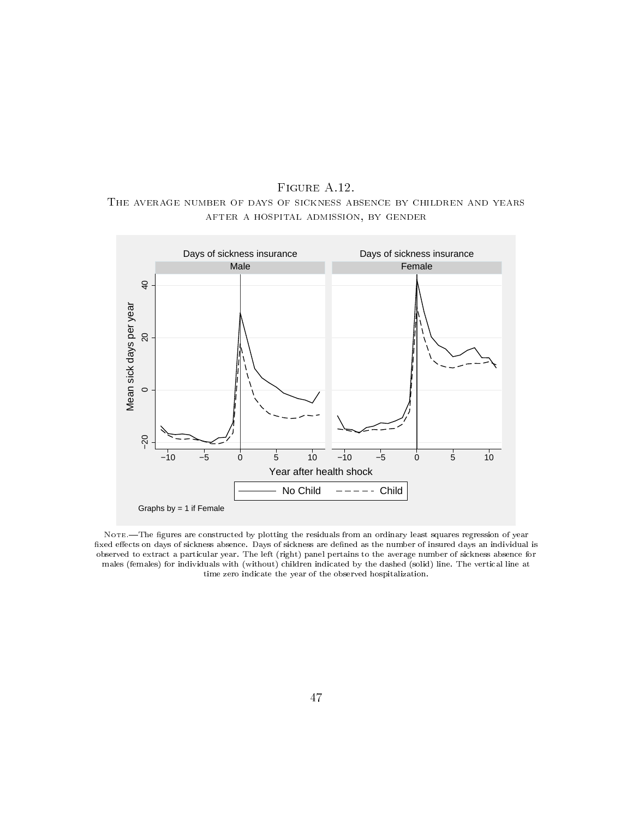FIGURE A.12. The average number of days of sickness absence by children and years after a hospital admission, by gender



NOTE.—The figures are constructed by plotting the residuals from an ordinary least squares regression of year fixed effects on days of sickness absence. Days of sickness are defined as the number of insured days an individual is observed to extract a particular year. The left (right) panel pertains to the average number of sickness absence for males (females) for individuals with (without) children indicated by the dashed (solid) line. The vertical line at time zero indicate the year of the observed hospitalization.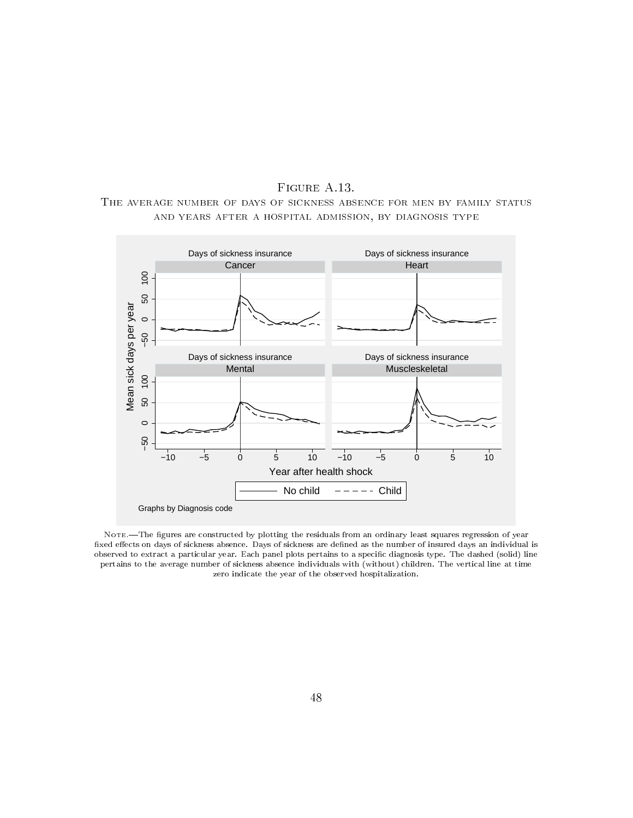FIGURE A.13. The average number of days of sickness absence for men by family status and years after a hospital admission, by diagnosis type



NOTE. The figures are constructed by plotting the residuals from an ordinary least squares regression of year fixed effects on days of sickness absence. Days of sickness are defined as the number of insured days an individual is observed to extract a particular year. Each panel plots pertains to a specic diagnosis type. The dashed (solid) line pertains to the average number of sickness absence individuals with (without) children. The vertical line at time zero indicate the year of the observed hospitalization.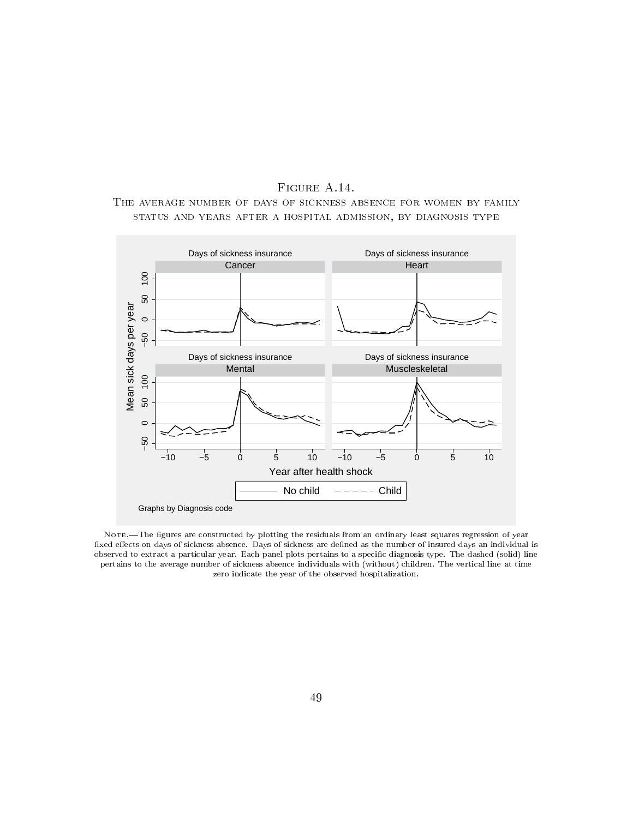



NOTE. The figures are constructed by plotting the residuals from an ordinary least squares regression of year fixed effects on days of sickness absence. Days of sickness are defined as the number of insured days an individual is observed to extract a particular year. Each panel plots pertains to a specic diagnosis type. The dashed (solid) line pertains to the average number of sickness absence individuals with (without) children. The vertical line at time zero indicate the year of the observed hospitalization.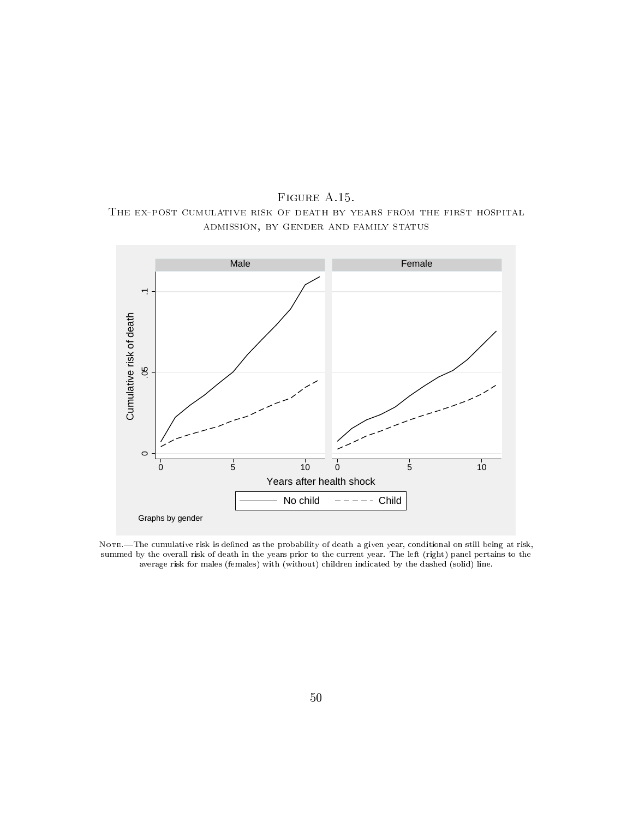FIGURE A.15. The ex-post cumulative risk of death by years from the first hospital admission, by gender and family status



NOTE.-The cumulative risk is defined as the probability of death a given year, conditional on still being at risk, summed by the overall risk of death in the years prior to the current year. The left (right) panel pertains to the average risk for males (females) with (without) children indicated by the dashed (solid) line.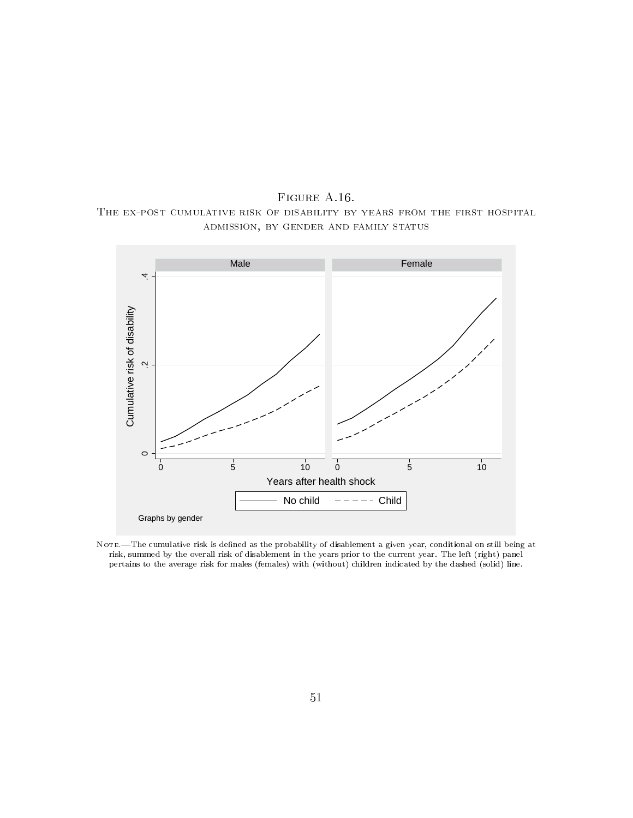FIGURE A.16. The ex-post cumulative risk of disability by years from the first hospital admission, by gender and family status



NOTE.-The cumulative risk is defined as the probability of disablement a given year, conditional on still being at risk, summed by the overall risk of disablement in the years prior to the current year. The left (right) panel pertains to the average risk for males (females) with (without) children indicated by the dashed (solid) line.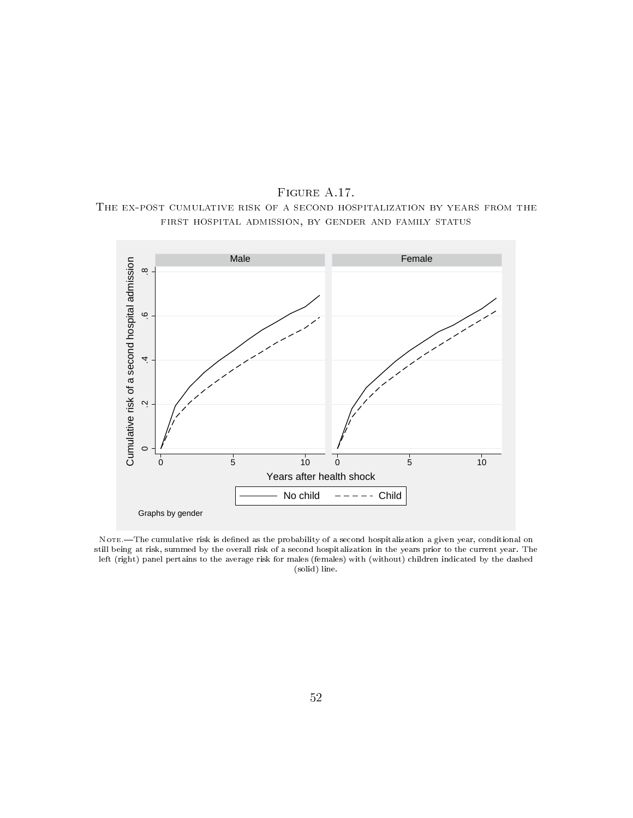FIGURE A.17. The ex-post cumulative risk of a second hospitalization by years from the first hospital admission, by gender and family status



NOTE. The cumulative risk is defined as the probability of a second hospitalization a given year, conditional on still being at risk, summed by the overall risk of a second hospitalization in the years prior to the current year. The left (right) panel pertains to the average risk for males (females) with (without) children indicated by the dashed (solid) line.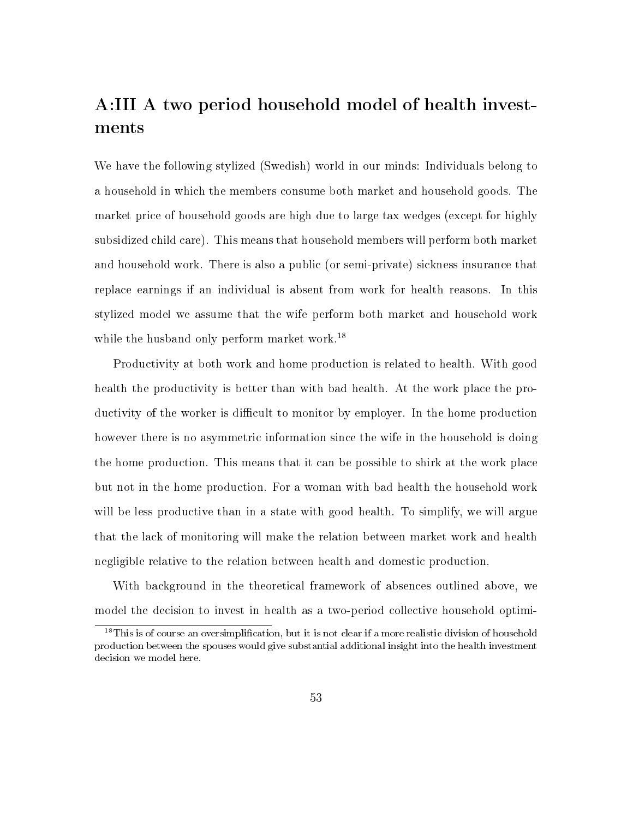# A:III A two period household model of health investments

We have the following stylized (Swedish) world in our minds: Individuals belong to a household in which the members consume both market and household goods. The market price of household goods are high due to large tax wedges (except for highly subsidized child care). This means that household members will perform both market and household work. There is also a public (or semi-private) sickness insurance that replace earnings if an individual is absent from work for health reasons. In this stylized model we assume that the wife perform both market and household work while the husband only perform market work.<sup>18</sup>

Productivity at both work and home production is related to health. With good health the productivity is better than with bad health. At the work place the productivity of the worker is difficult to monitor by employer. In the home production however there is no asymmetric information since the wife in the household is doing the home production. This means that it can be possible to shirk at the work place but not in the home production. For a woman with bad health the household work will be less productive than in a state with good health. To simplify, we will argue that the lack of monitoring will make the relation between market work and health negligible relative to the relation between health and domestic production.

With background in the theoretical framework of absences outlined above, we model the decision to invest in health as a two-period collective household optimi-

<sup>&</sup>lt;sup>18</sup>This is of course an oversimplification, but it is not clear if a more realistic division of household production between the spouses would give substantial additional insight into the health investment decision we model here.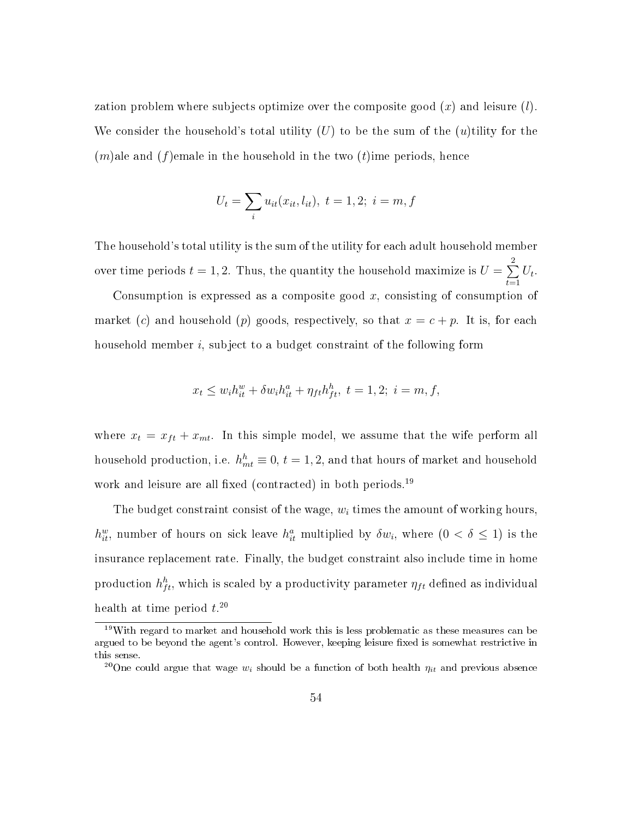zation problem where subjects optimize over the composite good (*x*) and leisure (*l*). We consider the household's total utility (*U*) to be the sum of the (*u*)tility for the (*m*)ale and (*f*)emale in the household in the two (*t*)ime periods, hence

$$
U_t = \sum_i u_{it}(x_{it}, l_{it}), \ t = 1, 2; \ i = m, f
$$

The household's total utility is the sum of the utility for each adult household member over time periods  $t = 1, 2$ . Thus, the quantity the household maximize is  $U = \sum^2$ *t*=1  $U_t$ .

Consumption is expressed as a composite good *x*, consisting of consumption of market (*c*) and household (*p*) goods, respectively, so that  $x = c + p$ . It is, for each household member *i*, subject to a budget constraint of the following form

$$
x_t \le w_i h_{it}^w + \delta w_i h_{it}^a + \eta_{ft} h_{ft}^h, \ t = 1, 2; \ i = m, f,
$$

where  $x_t = x_{ft} + x_{mt}$ . In this simple model, we assume that the wife perform all household production, i.e.  $h_{mt}^h \equiv 0$ ,  $t = 1, 2$ , and that hours of market and household work and leisure are all fixed (contracted) in both periods.<sup>19</sup>

The budget constraint consist of the wage, *w<sup>i</sup>* times the amount of working hours,  $h_{it}^w$ , number of hours on sick leave  $h_{it}^a$  multiplied by  $\delta w_i$ , where  $(0 < \delta \leq 1)$  is the insurance replacement rate. Finally, the budget constraint also include time in home production  $h_{ft}^h$ , which is scaled by a productivity parameter  $\eta_{ft}$  defined as individual health at time period *t*. 20

<sup>19</sup>With regard to market and household work this is less problematic as these measures can be argued to be beyond the agent's control. However, keeping leisure fixed is somewhat restrictive in this sense.

<sup>&</sup>lt;sup>20</sup>One could argue that wage  $w_i$  should be a function of both health  $\eta_{it}$  and previous absence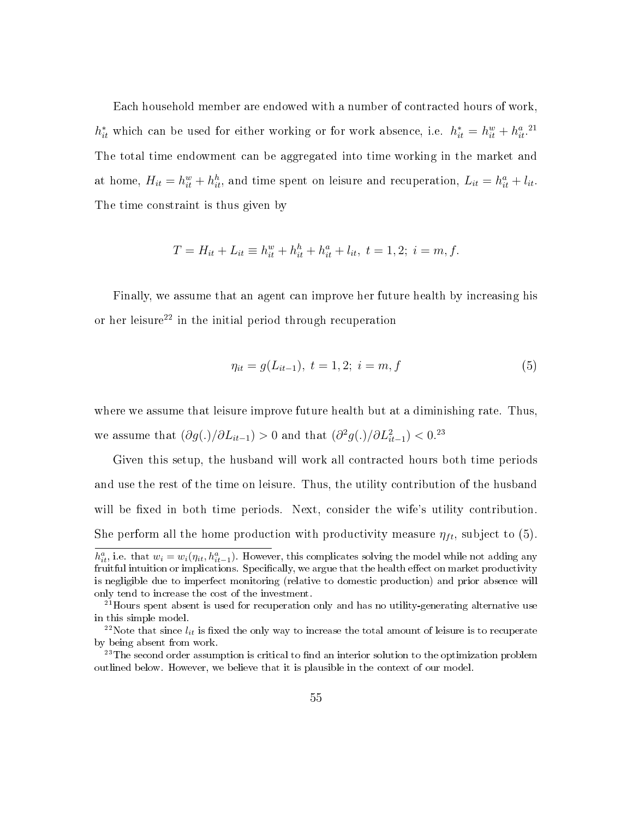Each household member are endowed with a number of contracted hours of work,  $h_{it}^*$  which can be used for either working or for work absence, i.e.  $h_{it}^* = h_{it}^w + h_{it}^{a}$ .<sup>21</sup> The total time endowment can be aggregated into time working in the market and at home,  $H_{it} = h_{it}^w + h_{it}^h$ , and time spent on leisure and recuperation,  $L_{it} = h_{it}^a + l_{it}$ . The time constraint is thus given by

$$
T = H_{it} + L_{it} \equiv h_{it}^w + h_{it}^h + h_{it}^a + l_{it}, t = 1, 2; i = m, f.
$$

Finally, we assume that an agent can improve her future health by increasing his or her leisure<sup>22</sup> in the initial period through recuperation

$$
\eta_{it} = g(L_{it-1}), \ t = 1, 2; \ i = m, f \tag{5}
$$

where we assume that leisure improve future health but at a diminishing rate. Thus, we assume that  $(\partial g(.)/\partial L_{it-1}) > 0$  and that  $(\partial^2 g(.)/\partial L_{it-1}^2) < 0$ .<sup>23</sup>

Given this setup, the husband will work all contracted hours both time periods and use the rest of the time on leisure. Thus, the utility contribution of the husband will be fixed in both time periods. Next, consider the wife's utility contribution. She perform all the home production with productivity measure  $\eta_{ft}$ , subject to (5).  $h_{it}^a$ , i.e. that  $w_i = w_i(\eta_{it}, h_{it-1}^a)$ . However, this complicates solving the model while not adding any fruitful intuition or implications. Specifically, we argue that the health effect on market productivity

is negligible due to imperfect monitoring (relative to domestic production) and prior absence will only tend to increase the cost of the investment.

<sup>&</sup>lt;sup>21</sup>Hours spent absent is used for recuperation only and has no utility-generating alternative use in this simple model.

 $^{22}$ Note that since  $l_{it}$  is fixed the only way to increase the total amount of leisure is to recuperate by being absent from work.

 $23$ The second order assumption is critical to find an interior solution to the optimization problem outlined below. However, we believe that it is plausible in the context of our model.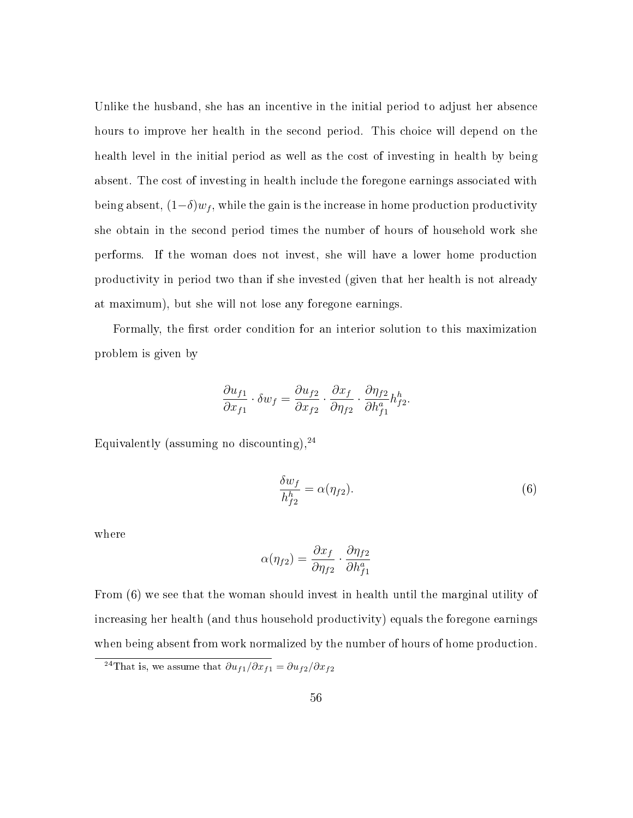Unlike the husband, she has an incentive in the initial period to adjust her absence hours to improve her health in the second period. This choice will depend on the health level in the initial period as well as the cost of investing in health by being absent. The cost of investing in health include the foregone earnings associated with being absent,  $(1-\delta)w_f$ , while the gain is the increase in home production productivity she obtain in the second period times the number of hours of household work she performs. If the woman does not invest, she will have a lower home production productivity in period two than if she invested (given that her health is not already at maximum), but she will not lose any foregone earnings.

Formally, the first order condition for an interior solution to this maximization problem is given by

$$
\frac{\partial u_{f1}}{\partial x_{f1}} \cdot \delta w_f = \frac{\partial u_{f2}}{\partial x_{f2}} \cdot \frac{\partial x_f}{\partial \eta_{f2}} \cdot \frac{\partial \eta_{f2}}{\partial h_{f1}^a} h_{f2}^h.
$$

Equivalently (assuming no discounting),  $24$ 

$$
\frac{\delta w_f}{h_{f2}^h} = \alpha(\eta_{f2}).\tag{6}
$$

where

$$
\alpha(\eta_{f2}) = \frac{\partial x_f}{\partial \eta_{f2}} \cdot \frac{\partial \eta_{f2}}{\partial h_{f1}^a}
$$

From (6) we see that the woman should invest in health until the marginal utility of increasing her health (and thus household productivity) equals the foregone earnings when being absent from work normalized by the number of hours of home production.

<sup>&</sup>lt;sup>24</sup>That is, we assume that  $\partial u_{f1}/\partial x_{f1} = \partial u_{f2}/\partial x_{f2}$